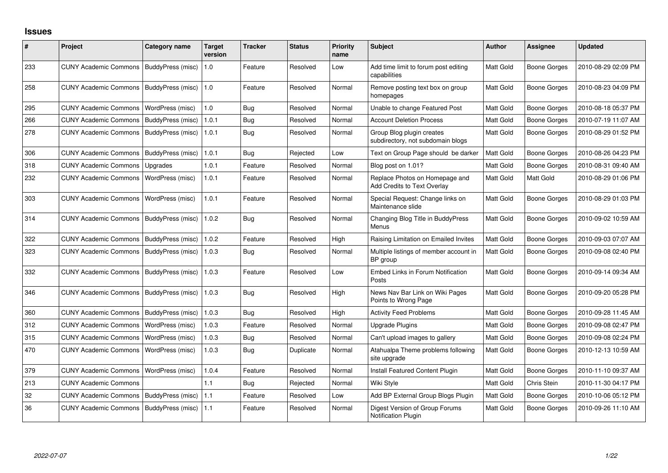## **Issues**

| $\#$ | Project                      | <b>Category name</b>     | Target<br>version | Tracker    | <b>Status</b> | <b>Priority</b><br>name | <b>Subject</b>                                                 | <b>Author</b> | <b>Assignee</b>     | <b>Updated</b>      |
|------|------------------------------|--------------------------|-------------------|------------|---------------|-------------------------|----------------------------------------------------------------|---------------|---------------------|---------------------|
| 233  | <b>CUNY Academic Commons</b> | <b>BuddyPress</b> (misc) | 1.0               | Feature    | Resolved      | Low                     | Add time limit to forum post editing<br>capabilities           | Matt Gold     | <b>Boone Gorges</b> | 2010-08-29 02:09 PM |
| 258  | <b>CUNY Academic Commons</b> | BuddyPress (misc)        | 1.0               | Feature    | Resolved      | Normal                  | Remove posting text box on group<br>homepages                  | Matt Gold     | <b>Boone Gorges</b> | 2010-08-23 04:09 PM |
| 295  | <b>CUNY Academic Commons</b> | WordPress (misc)         | 1.0               | <b>Bug</b> | Resolved      | Normal                  | Unable to change Featured Post                                 | Matt Gold     | <b>Boone Gorges</b> | 2010-08-18 05:37 PM |
| 266  | <b>CUNY Academic Commons</b> | BuddyPress (misc)        | 1.0.1             | <b>Bug</b> | Resolved      | Normal                  | <b>Account Deletion Process</b>                                | Matt Gold     | <b>Boone Gorges</b> | 2010-07-19 11:07 AM |
| 278  | <b>CUNY Academic Commons</b> | BuddyPress (misc)        | 1.0.1             | <b>Bug</b> | Resolved      | Normal                  | Group Blog plugin creates<br>subdirectory, not subdomain blogs | Matt Gold     | <b>Boone Gorges</b> | 2010-08-29 01:52 PM |
| 306  | <b>CUNY Academic Commons</b> | BuddyPress (misc)        | 1.0.1             | Bug        | Rejected      | Low                     | Text on Group Page should be darker                            | Matt Gold     | <b>Boone Gorges</b> | 2010-08-26 04:23 PM |
| 318  | <b>CUNY Academic Commons</b> | Upgrades                 | 1.0.1             | Feature    | Resolved      | Normal                  | Blog post on 1.01?                                             | Matt Gold     | Boone Gorges        | 2010-08-31 09:40 AM |
| 232  | <b>CUNY Academic Commons</b> | WordPress (misc)         | 1.0.1             | Feature    | Resolved      | Normal                  | Replace Photos on Homepage and<br>Add Credits to Text Overlay  | Matt Gold     | Matt Gold           | 2010-08-29 01:06 PM |
| 303  | <b>CUNY Academic Commons</b> | WordPress (misc)         | 1.0.1             | Feature    | Resolved      | Normal                  | Special Request: Change links on<br>Maintenance slide          | Matt Gold     | <b>Boone Gorges</b> | 2010-08-29 01:03 PM |
| 314  | <b>CUNY Academic Commons</b> | BuddyPress (misc)        | 1.0.2             | Bug        | Resolved      | Normal                  | Changing Blog Title in BuddyPress<br>Menus                     | Matt Gold     | <b>Boone Gorges</b> | 2010-09-02 10:59 AM |
| 322  | <b>CUNY Academic Commons</b> | BuddyPress (misc)        | 1.0.2             | Feature    | Resolved      | High                    | Raising Limitation on Emailed Invites                          | Matt Gold     | <b>Boone Gorges</b> | 2010-09-03 07:07 AM |
| 323  | <b>CUNY Academic Commons</b> | BuddyPress (misc)        | 1.0.3             | Bug        | Resolved      | Normal                  | Multiple listings of member account in<br>BP group             | Matt Gold     | <b>Boone Gorges</b> | 2010-09-08 02:40 PM |
| 332  | <b>CUNY Academic Commons</b> | BuddyPress (misc)        | 1.0.3             | Feature    | Resolved      | Low                     | Embed Links in Forum Notification<br>Posts                     | Matt Gold     | <b>Boone Gorges</b> | 2010-09-14 09:34 AM |
| 346  | <b>CUNY Academic Commons</b> | BuddyPress (misc)        | 1.0.3             | <b>Bug</b> | Resolved      | High                    | News Nav Bar Link on Wiki Pages<br>Points to Wrong Page        | Matt Gold     | Boone Gorges        | 2010-09-20 05:28 PM |
| 360  | <b>CUNY Academic Commons</b> | BuddyPress (misc)        | 1.0.3             | <b>Bug</b> | Resolved      | High                    | <b>Activity Feed Problems</b>                                  | Matt Gold     | <b>Boone Gorges</b> | 2010-09-28 11:45 AM |
| 312  | <b>CUNY Academic Commons</b> | WordPress (misc)         | 1.0.3             | Feature    | Resolved      | Normal                  | <b>Upgrade Plugins</b>                                         | Matt Gold     | <b>Boone Gorges</b> | 2010-09-08 02:47 PM |
| 315  | <b>CUNY Academic Commons</b> | WordPress (misc)         | 1.0.3             | Bug        | Resolved      | Normal                  | Can't upload images to gallery                                 | Matt Gold     | <b>Boone Gorges</b> | 2010-09-08 02:24 PM |
| 470  | <b>CUNY Academic Commons</b> | WordPress (misc)         | 1.0.3             | Bug        | Duplicate     | Normal                  | Atahualpa Theme problems following<br>site upgrade             | Matt Gold     | Boone Gorges        | 2010-12-13 10:59 AM |
| 379  | <b>CUNY Academic Commons</b> | WordPress (misc)         | 1.0.4             | Feature    | Resolved      | Normal                  | Install Featured Content Plugin                                | Matt Gold     | <b>Boone Gorges</b> | 2010-11-10 09:37 AM |
| 213  | <b>CUNY Academic Commons</b> |                          | 1.1               | Bug        | Rejected      | Normal                  | Wiki Style                                                     | Matt Gold     | Chris Stein         | 2010-11-30 04:17 PM |
| 32   | <b>CUNY Academic Commons</b> | BuddyPress (misc)        | 1.1               | Feature    | Resolved      | Low                     | Add BP External Group Blogs Plugin                             | Matt Gold     | <b>Boone Gorges</b> | 2010-10-06 05:12 PM |
| 36   | <b>CUNY Academic Commons</b> | BuddyPress (misc)        | 1.1               | Feature    | Resolved      | Normal                  | Digest Version of Group Forums<br><b>Notification Plugin</b>   | Matt Gold     | <b>Boone Gorges</b> | 2010-09-26 11:10 AM |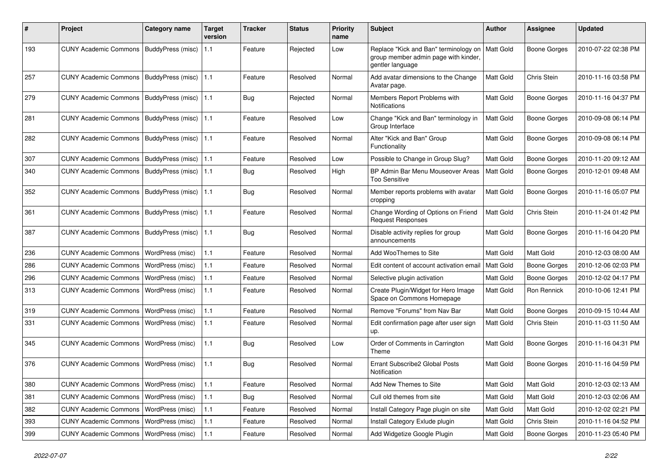| #   | Project                                   | <b>Category name</b> | <b>Target</b><br>version | Tracker    | <b>Status</b> | <b>Priority</b><br>name | <b>Subject</b>                                                                                    | Author           | Assignee            | Updated             |
|-----|-------------------------------------------|----------------------|--------------------------|------------|---------------|-------------------------|---------------------------------------------------------------------------------------------------|------------------|---------------------|---------------------|
| 193 | CUNY Academic Commons   BuddyPress (misc) |                      | 1.1                      | Feature    | Rejected      | Low                     | Replace "Kick and Ban" terminology on<br>group member admin page with kinder,<br>gentler language | Matt Gold        | <b>Boone Gorges</b> | 2010-07-22 02:38 PM |
| 257 | <b>CUNY Academic Commons</b>              | BuddyPress (misc)    | 1.1                      | Feature    | Resolved      | Normal                  | Add avatar dimensions to the Change<br>Avatar page.                                               | Matt Gold        | Chris Stein         | 2010-11-16 03:58 PM |
| 279 | <b>CUNY Academic Commons</b>              | BuddyPress (misc)    | 1.1                      | Bug        | Rejected      | Normal                  | Members Report Problems with<br>Notifications                                                     | Matt Gold        | Boone Gorges        | 2010-11-16 04:37 PM |
| 281 | <b>CUNY Academic Commons</b>              | BuddyPress (misc)    | 1.1                      | Feature    | Resolved      | Low                     | Change "Kick and Ban" terminology in<br>Group Interface                                           | Matt Gold        | <b>Boone Gorges</b> | 2010-09-08 06:14 PM |
| 282 | <b>CUNY Academic Commons</b>              | BuddyPress (misc)    | 1.1                      | Feature    | Resolved      | Normal                  | Alter "Kick and Ban" Group<br>Functionality                                                       | <b>Matt Gold</b> | <b>Boone Gorges</b> | 2010-09-08 06:14 PM |
| 307 | <b>CUNY Academic Commons</b>              | BuddyPress (misc)    | 1.1                      | Feature    | Resolved      | Low                     | Possible to Change in Group Slug?                                                                 | <b>Matt Gold</b> | <b>Boone Gorges</b> | 2010-11-20 09:12 AM |
| 340 | <b>CUNY Academic Commons</b>              | BuddyPress (misc)    | 1.1                      | <b>Bug</b> | Resolved      | High                    | BP Admin Bar Menu Mouseover Areas<br><b>Too Sensitive</b>                                         | Matt Gold        | Boone Gorges        | 2010-12-01 09:48 AM |
| 352 | <b>CUNY Academic Commons</b>              | BuddyPress (misc)    | 1.1                      | <b>Bug</b> | Resolved      | Normal                  | Member reports problems with avatar<br>cropping                                                   | Matt Gold        | <b>Boone Gorges</b> | 2010-11-16 05:07 PM |
| 361 | <b>CUNY Academic Commons</b>              | BuddyPress (misc)    | 1.1                      | Feature    | Resolved      | Normal                  | Change Wording of Options on Friend<br><b>Request Responses</b>                                   | Matt Gold        | Chris Stein         | 2010-11-24 01:42 PM |
| 387 | <b>CUNY Academic Commons</b>              | BuddyPress (misc)    | 1.1                      | <b>Bug</b> | Resolved      | Normal                  | Disable activity replies for group<br>announcements                                               | Matt Gold        | Boone Gorges        | 2010-11-16 04:20 PM |
| 236 | <b>CUNY Academic Commons</b>              | WordPress (misc)     | 1.1                      | Feature    | Resolved      | Normal                  | Add WooThemes to Site                                                                             | Matt Gold        | Matt Gold           | 2010-12-03 08:00 AM |
| 286 | <b>CUNY Academic Commons</b>              | WordPress (misc)     | 1.1                      | Feature    | Resolved      | Normal                  | Edit content of account activation email                                                          | Matt Gold        | <b>Boone Gorges</b> | 2010-12-06 02:03 PM |
| 296 | <b>CUNY Academic Commons</b>              | WordPress (misc)     | 1.1                      | Feature    | Resolved      | Normal                  | Selective plugin activation                                                                       | Matt Gold        | <b>Boone Gorges</b> | 2010-12-02 04:17 PM |
| 313 | <b>CUNY Academic Commons</b>              | WordPress (misc)     | 1.1                      | Feature    | Resolved      | Normal                  | Create Plugin/Widget for Hero Image<br>Space on Commons Homepage                                  | Matt Gold        | Ron Rennick         | 2010-10-06 12:41 PM |
| 319 | <b>CUNY Academic Commons</b>              | WordPress (misc)     | 1.1                      | Feature    | Resolved      | Normal                  | Remove "Forums" from Nav Bar                                                                      | Matt Gold        | <b>Boone Gorges</b> | 2010-09-15 10:44 AM |
| 331 | <b>CUNY Academic Commons</b>              | WordPress (misc)     | 1.1                      | Feature    | Resolved      | Normal                  | Edit confirmation page after user sign<br>up.                                                     | Matt Gold        | Chris Stein         | 2010-11-03 11:50 AM |
| 345 | <b>CUNY Academic Commons</b>              | WordPress (misc)     | 1.1                      | <b>Bug</b> | Resolved      | Low                     | Order of Comments in Carrington<br>Theme                                                          | Matt Gold        | Boone Gorges        | 2010-11-16 04:31 PM |
| 376 | <b>CUNY Academic Commons</b>              | WordPress (misc)     | 1.1                      | <b>Bug</b> | Resolved      | Normal                  | Errant Subscribe2 Global Posts<br>Notification                                                    | <b>Matt Gold</b> | Boone Gorges        | 2010-11-16 04:59 PM |
| 380 | CUNY Academic Commons   WordPress (misc)  |                      | 1.1                      | Feature    | Resolved      | Normal                  | Add New Themes to Site                                                                            | Matt Gold        | Matt Gold           | 2010-12-03 02:13 AM |
| 381 | <b>CUNY Academic Commons</b>              | WordPress (misc)     | $1.1$                    | Bug        | Resolved      | Normal                  | Cull old themes from site                                                                         | Matt Gold        | Matt Gold           | 2010-12-03 02:06 AM |
| 382 | <b>CUNY Academic Commons</b>              | WordPress (misc)     | 1.1                      | Feature    | Resolved      | Normal                  | Install Category Page plugin on site                                                              | <b>Matt Gold</b> | Matt Gold           | 2010-12-02 02:21 PM |
| 393 | CUNY Academic Commons                     | WordPress (misc)     | $1.1$                    | Feature    | Resolved      | Normal                  | Install Category Exlude plugin                                                                    | Matt Gold        | Chris Stein         | 2010-11-16 04:52 PM |
| 399 | <b>CUNY Academic Commons</b>              | WordPress (misc)     | 1.1                      | Feature    | Resolved      | Normal                  | Add Widgetize Google Plugin                                                                       | Matt Gold        | <b>Boone Gorges</b> | 2010-11-23 05:40 PM |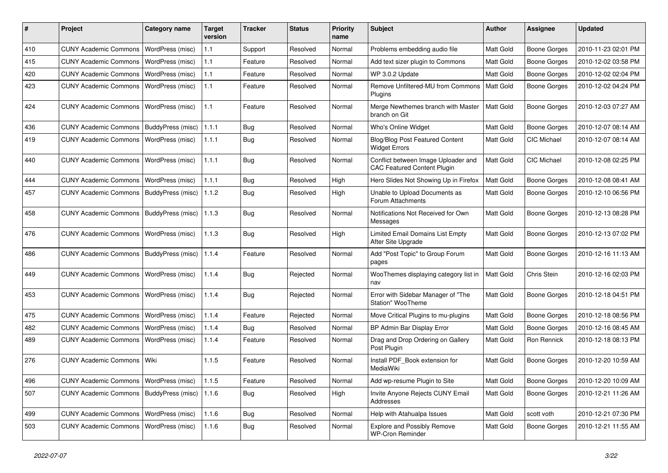| #   | Project                                   | Category name           | <b>Target</b><br>version | <b>Tracker</b> | <b>Status</b> | <b>Priority</b><br>name | <b>Subject</b>                                                            | <b>Author</b>    | Assignee            | <b>Updated</b>      |
|-----|-------------------------------------------|-------------------------|--------------------------|----------------|---------------|-------------------------|---------------------------------------------------------------------------|------------------|---------------------|---------------------|
| 410 | <b>CUNY Academic Commons</b>              | WordPress (misc)        | 1.1                      | Support        | Resolved      | Normal                  | Problems embedding audio file                                             | Matt Gold        | <b>Boone Gorges</b> | 2010-11-23 02:01 PM |
| 415 | <b>CUNY Academic Commons</b>              | WordPress (misc)        | 1.1                      | Feature        | Resolved      | Normal                  | Add text sizer plugin to Commons                                          | Matt Gold        | <b>Boone Gorges</b> | 2010-12-02 03:58 PM |
| 420 | <b>CUNY Academic Commons</b>              | WordPress (misc)        | 1.1                      | Feature        | Resolved      | Normal                  | WP 3.0.2 Update                                                           | Matt Gold        | <b>Boone Gorges</b> | 2010-12-02 02:04 PM |
| 423 | <b>CUNY Academic Commons</b>              | WordPress (misc)        | 1.1                      | Feature        | Resolved      | Normal                  | Remove Unfiltered-MU from Commons<br>Plugins                              | <b>Matt Gold</b> | <b>Boone Gorges</b> | 2010-12-02 04:24 PM |
| 424 | <b>CUNY Academic Commons</b>              | WordPress (misc)        | 1.1                      | Feature        | Resolved      | Normal                  | Merge Newthemes branch with Master<br>branch on Git                       | Matt Gold        | <b>Boone Gorges</b> | 2010-12-03 07:27 AM |
| 436 | <b>CUNY Academic Commons</b>              | BuddyPress (misc)       | 1.1.1                    | Bug            | Resolved      | Normal                  | Who's Online Widget                                                       | Matt Gold        | <b>Boone Gorges</b> | 2010-12-07 08:14 AM |
| 419 | <b>CUNY Academic Commons</b>              | <b>WordPress (misc)</b> | 1.1.1                    | Bug            | Resolved      | Normal                  | <b>Blog/Blog Post Featured Content</b><br><b>Widget Errors</b>            | Matt Gold        | <b>CIC Michael</b>  | 2010-12-07 08:14 AM |
| 440 | <b>CUNY Academic Commons</b>              | WordPress (misc)        | 1.1.1                    | Bug            | Resolved      | Normal                  | Conflict between Image Uploader and<br><b>CAC Featured Content Plugin</b> | Matt Gold        | <b>CIC Michael</b>  | 2010-12-08 02:25 PM |
| 444 | <b>CUNY Academic Commons</b>              | WordPress (misc)        | 1.1.1                    | Bug            | Resolved      | High                    | Hero Slides Not Showing Up in Firefox                                     | Matt Gold        | <b>Boone Gorges</b> | 2010-12-08 08:41 AM |
| 457 | <b>CUNY Academic Commons</b>              | BuddyPress (misc)       | 1.1.2                    | Bug            | Resolved      | High                    | Unable to Upload Documents as<br>Forum Attachments                        | Matt Gold        | <b>Boone Gorges</b> | 2010-12-10 06:56 PM |
| 458 | <b>CUNY Academic Commons</b>              | BuddyPress (misc)       | 1.1.3                    | Bug            | Resolved      | Normal                  | Notifications Not Received for Own<br>Messages                            | Matt Gold        | <b>Boone Gorges</b> | 2010-12-13 08:28 PM |
| 476 | <b>CUNY Academic Commons</b>              | WordPress (misc)        | 1.1.3                    | Bug            | Resolved      | High                    | <b>Limited Email Domains List Empty</b><br>After Site Upgrade             | Matt Gold        | <b>Boone Gorges</b> | 2010-12-13 07:02 PM |
| 486 | <b>CUNY Academic Commons</b>              | BuddyPress (misc)       | 1.1.4                    | Feature        | Resolved      | Normal                  | Add "Post Topic" to Group Forum<br>pages                                  | Matt Gold        | <b>Boone Gorges</b> | 2010-12-16 11:13 AM |
| 449 | <b>CUNY Academic Commons</b>              | WordPress (misc)        | 1.1.4                    | Bug            | Rejected      | Normal                  | WooThemes displaying category list in<br>nav                              | Matt Gold        | Chris Stein         | 2010-12-16 02:03 PM |
| 453 | <b>CUNY Academic Commons</b>              | WordPress (misc)        | 1.1.4                    | Bug            | Rejected      | Normal                  | Error with Sidebar Manager of "The<br>Station" WooTheme                   | Matt Gold        | <b>Boone Gorges</b> | 2010-12-18 04:51 PM |
| 475 | <b>CUNY Academic Commons</b>              | WordPress (misc)        | 1.1.4                    | Feature        | Rejected      | Normal                  | Move Critical Plugins to mu-plugins                                       | Matt Gold        | <b>Boone Gorges</b> | 2010-12-18 08:56 PM |
| 482 | <b>CUNY Academic Commons</b>              | WordPress (misc)        | 1.1.4                    | <b>Bug</b>     | Resolved      | Normal                  | BP Admin Bar Display Error                                                | Matt Gold        | <b>Boone Gorges</b> | 2010-12-16 08:45 AM |
| 489 | <b>CUNY Academic Commons</b>              | WordPress (misc)        | 1.1.4                    | Feature        | Resolved      | Normal                  | Drag and Drop Ordering on Gallery<br>Post Plugin                          | Matt Gold        | Ron Rennick         | 2010-12-18 08:13 PM |
| 276 | <b>CUNY Academic Commons</b>              | Wiki                    | 1.1.5                    | Feature        | Resolved      | Normal                  | Install PDF_Book extension for<br>MediaWiki                               | Matt Gold        | <b>Boone Gorges</b> | 2010-12-20 10:59 AM |
| 496 | CUNY Academic Commons   WordPress (misc)  |                         | 1.1.5                    | Feature        | Resolved      | Normal                  | Add wp-resume Plugin to Site                                              | Matt Gold        | <b>Boone Gorges</b> | 2010-12-20 10:09 AM |
| 507 | CUNY Academic Commons   BuddyPress (misc) |                         | 1.1.6                    | Bug            | Resolved      | High                    | Invite Anyone Rejects CUNY Email<br>Addresses                             | Matt Gold        | <b>Boone Gorges</b> | 2010-12-21 11:26 AM |
| 499 | CUNY Academic Commons   WordPress (misc)  |                         | 1.1.6                    | <b>Bug</b>     | Resolved      | Normal                  | Help with Atahualpa Issues                                                | Matt Gold        | scott voth          | 2010-12-21 07:30 PM |
| 503 | CUNY Academic Commons   WordPress (misc)  |                         | 1.1.6                    | <b>Bug</b>     | Resolved      | Normal                  | <b>Explore and Possibly Remove</b><br><b>WP-Cron Reminder</b>             | Matt Gold        | Boone Gorges        | 2010-12-21 11:55 AM |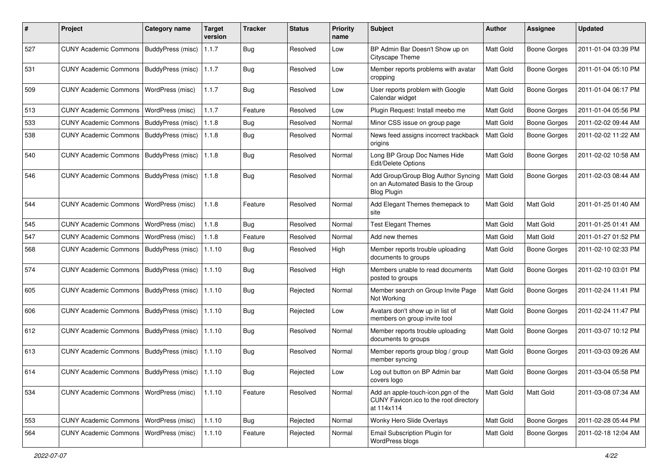| #   | Project                                            | <b>Category name</b>     | <b>Target</b><br>version | <b>Tracker</b> | <b>Status</b> | <b>Priority</b><br>name | Subject                                                                                         | Author    | <b>Assignee</b>     | <b>Updated</b>      |
|-----|----------------------------------------------------|--------------------------|--------------------------|----------------|---------------|-------------------------|-------------------------------------------------------------------------------------------------|-----------|---------------------|---------------------|
| 527 | CUNY Academic Commons   BuddyPress (misc)          |                          | 1.1.7                    | Bug            | Resolved      | Low                     | BP Admin Bar Doesn't Show up on<br>Cityscape Theme                                              | Matt Gold | <b>Boone Gorges</b> | 2011-01-04 03:39 PM |
| 531 | CUNY Academic Commons   BuddyPress (misc)          |                          | 1.1.7                    | Bug            | Resolved      | Low                     | Member reports problems with avatar<br>cropping                                                 | Matt Gold | <b>Boone Gorges</b> | 2011-01-04 05:10 PM |
| 509 | <b>CUNY Academic Commons</b>                       | WordPress (misc)         | 1.1.7                    | <b>Bug</b>     | Resolved      | Low                     | User reports problem with Google<br>Calendar widget                                             | Matt Gold | Boone Gorges        | 2011-01-04 06:17 PM |
| 513 | <b>CUNY Academic Commons</b>                       | WordPress (misc)         | 1.1.7                    | Feature        | Resolved      | Low                     | Plugin Request: Install meebo me                                                                | Matt Gold | <b>Boone Gorges</b> | 2011-01-04 05:56 PM |
| 533 | <b>CUNY Academic Commons</b>                       | BuddyPress (misc)        | 1.1.8                    | Bug            | Resolved      | Normal                  | Minor CSS issue on group page                                                                   | Matt Gold | <b>Boone Gorges</b> | 2011-02-02 09:44 AM |
| 538 | CUNY Academic Commons   BuddyPress (misc)          |                          | 1.1.8                    | Bug            | Resolved      | Normal                  | News feed assigns incorrect trackback<br>origins                                                | Matt Gold | Boone Gorges        | 2011-02-02 11:22 AM |
| 540 | <b>CUNY Academic Commons</b>                       | BuddyPress (misc)        | 1.1.8                    | Bug            | Resolved      | Normal                  | Long BP Group Doc Names Hide<br>Edit/Delete Options                                             | Matt Gold | Boone Gorges        | 2011-02-02 10:58 AM |
| 546 | <b>CUNY Academic Commons</b>                       | <b>BuddyPress (misc)</b> | 1.1.8                    | Bug            | Resolved      | Normal                  | Add Group/Group Blog Author Syncing<br>on an Automated Basis to the Group<br><b>Blog Plugin</b> | Matt Gold | Boone Gorges        | 2011-02-03 08:44 AM |
| 544 | <b>CUNY Academic Commons</b>                       | WordPress (misc)         | 1.1.8                    | Feature        | Resolved      | Normal                  | Add Elegant Themes themepack to<br>site                                                         | Matt Gold | Matt Gold           | 2011-01-25 01:40 AM |
| 545 | <b>CUNY Academic Commons</b>                       | WordPress (misc)         | 1.1.8                    | Bug            | Resolved      | Normal                  | <b>Test Elegant Themes</b>                                                                      | Matt Gold | Matt Gold           | 2011-01-25 01:41 AM |
| 547 | <b>CUNY Academic Commons</b>                       | WordPress (misc)         | 1.1.8                    | Feature        | Resolved      | Normal                  | Add new themes                                                                                  | Matt Gold | Matt Gold           | 2011-01-27 01:52 PM |
| 568 | <b>CUNY Academic Commons</b>                       | BuddyPress (misc)        | 1.1.10                   | Bug            | Resolved      | High                    | Member reports trouble uploading<br>documents to groups                                         | Matt Gold | Boone Gorges        | 2011-02-10 02:33 PM |
| 574 | <b>CUNY Academic Commons</b>                       | BuddyPress (misc)        | 1.1.10                   | Bug            | Resolved      | High                    | Members unable to read documents<br>posted to groups                                            | Matt Gold | <b>Boone Gorges</b> | 2011-02-10 03:01 PM |
| 605 | <b>CUNY Academic Commons</b>                       | BuddyPress (misc)        | 1.1.10                   | Bug            | Rejected      | Normal                  | Member search on Group Invite Page<br>Not Working                                               | Matt Gold | Boone Gorges        | 2011-02-24 11:41 PM |
| 606 | CUNY Academic Commons   BuddyPress (misc)          |                          | 1.1.10                   | Bug            | Rejected      | Low                     | Avatars don't show up in list of<br>members on group invite tool                                | Matt Gold | <b>Boone Gorges</b> | 2011-02-24 11:47 PM |
| 612 | CUNY Academic Commons   BuddyPress (misc)          |                          | 1.1.10                   | <b>Bug</b>     | Resolved      | Normal                  | Member reports trouble uploading<br>documents to groups                                         | Matt Gold | Boone Gorges        | 2011-03-07 10:12 PM |
| 613 | CUNY Academic Commons   BuddyPress (misc)          |                          | 1.1.10                   | Bug            | Resolved      | Normal                  | Member reports group blog / group<br>member syncing                                             | Matt Gold | Boone Gorges        | 2011-03-03 09:26 AM |
| 614 | CUNY Academic Commons   BuddyPress (misc)   1.1.10 |                          |                          | Bug            | Rejected      | Low                     | Log out button on BP Admin bar<br>covers logo                                                   | Matt Gold | Boone Gorges        | 2011-03-04 05:58 PM |
| 534 | CUNY Academic Commons   WordPress (misc)           |                          | 1.1.10                   | Feature        | Resolved      | Normal                  | Add an apple-touch-icon.pgn of the<br>CUNY Favicon.ico to the root directory<br>at 114x114      | Matt Gold | Matt Gold           | 2011-03-08 07:34 AM |
| 553 | <b>CUNY Academic Commons</b>                       | WordPress (misc)         | 1.1.10                   | Bug            | Rejected      | Normal                  | Wonky Hero Slide Overlays                                                                       | Matt Gold | <b>Boone Gorges</b> | 2011-02-28 05:44 PM |
| 564 | <b>CUNY Academic Commons</b>                       | WordPress (misc)         | 1.1.10                   | Feature        | Rejected      | Normal                  | Email Subscription Plugin for<br>WordPress blogs                                                | Matt Gold | <b>Boone Gorges</b> | 2011-02-18 12:04 AM |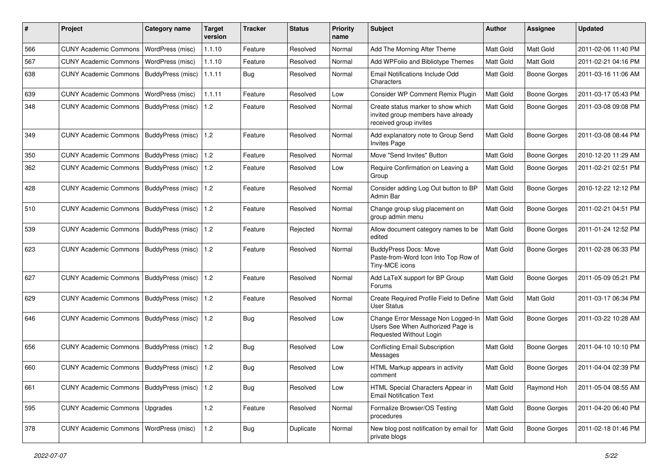| #   | Project                                   | <b>Category name</b> | <b>Target</b><br>version | <b>Tracker</b> | <b>Status</b> | <b>Priority</b><br>name | <b>Subject</b>                                                                                     | <b>Author</b>    | <b>Assignee</b>     | <b>Updated</b>      |
|-----|-------------------------------------------|----------------------|--------------------------|----------------|---------------|-------------------------|----------------------------------------------------------------------------------------------------|------------------|---------------------|---------------------|
| 566 | <b>CUNY Academic Commons</b>              | WordPress (misc)     | 1.1.10                   | Feature        | Resolved      | Normal                  | Add The Morning After Theme                                                                        | Matt Gold        | Matt Gold           | 2011-02-06 11:40 PM |
| 567 | <b>CUNY Academic Commons</b>              | WordPress (misc)     | 1.1.10                   | Feature        | Resolved      | Normal                  | Add WPFolio and Bibliotype Themes                                                                  | Matt Gold        | Matt Gold           | 2011-02-21 04:16 PM |
| 638 | <b>CUNY Academic Commons</b>              | BuddyPress (misc)    | 1.1.11                   | Bug            | Resolved      | Normal                  | Email Notifications Include Odd<br>Characters                                                      | Matt Gold        | <b>Boone Gorges</b> | 2011-03-16 11:06 AM |
| 639 | <b>CUNY Academic Commons</b>              | WordPress (misc)     | 1.1.11                   | Feature        | Resolved      | Low                     | Consider WP Comment Remix Plugin                                                                   | Matt Gold        | <b>Boone Gorges</b> | 2011-03-17 05:43 PM |
| 348 | <b>CUNY Academic Commons</b>              | BuddyPress (misc)    | 1.2                      | Feature        | Resolved      | Normal                  | Create status marker to show which<br>invited group members have already<br>received group invites | Matt Gold        | <b>Boone Gorges</b> | 2011-03-08 09:08 PM |
| 349 | CUNY Academic Commons   BuddyPress (misc) |                      | 1.2                      | Feature        | Resolved      | Normal                  | Add explanatory note to Group Send<br><b>Invites Page</b>                                          | <b>Matt Gold</b> | <b>Boone Gorges</b> | 2011-03-08 08:44 PM |
| 350 | <b>CUNY Academic Commons</b>              | BuddyPress (misc)    | 1.2                      | Feature        | Resolved      | Normal                  | Move "Send Invites" Button                                                                         | Matt Gold        | <b>Boone Gorges</b> | 2010-12-20 11:29 AM |
| 362 | <b>CUNY Academic Commons</b>              | BuddyPress (misc)    | $\vert$ 1.2              | Feature        | Resolved      | Low                     | Require Confirmation on Leaving a<br>Group                                                         | Matt Gold        | Boone Gorges        | 2011-02-21 02:51 PM |
| 428 | <b>CUNY Academic Commons</b>              | BuddyPress (misc)    | $\vert$ 1.2              | Feature        | Resolved      | Normal                  | Consider adding Log Out button to BP<br>Admin Bar                                                  | Matt Gold        | Boone Gorges        | 2010-12-22 12:12 PM |
| 510 | <b>CUNY Academic Commons</b>              | BuddyPress (misc)    | $\vert$ 1.2              | Feature        | Resolved      | Normal                  | Change group slug placement on<br>group admin menu                                                 | Matt Gold        | Boone Gorges        | 2011-02-21 04:51 PM |
| 539 | CUNY Academic Commons   BuddyPress (misc) |                      | 1.2                      | Feature        | Rejected      | Normal                  | Allow document category names to be<br>edited                                                      | Matt Gold        | Boone Gorges        | 2011-01-24 12:52 PM |
| 623 | CUNY Academic Commons   BuddyPress (misc) |                      | 1.2                      | Feature        | Resolved      | Normal                  | <b>BuddyPress Docs: Move</b><br>Paste-from-Word Icon Into Top Row of<br>Tiny-MCE icons             | Matt Gold        | Boone Gorges        | 2011-02-28 06:33 PM |
| 627 | <b>CUNY Academic Commons</b>              | BuddyPress (misc)    | 1.2                      | Feature        | Resolved      | Normal                  | Add LaTeX support for BP Group<br>Forums                                                           | Matt Gold        | Boone Gorges        | 2011-05-09 05:21 PM |
| 629 | <b>CUNY Academic Commons</b>              | BuddyPress (misc)    | $1.2$                    | Feature        | Resolved      | Normal                  | Create Required Profile Field to Define<br><b>User Status</b>                                      | Matt Gold        | Matt Gold           | 2011-03-17 06:34 PM |
| 646 | <b>CUNY Academic Commons</b>              | BuddyPress (misc)    | $\vert$ 1.2              | <b>Bug</b>     | Resolved      | Low                     | Change Error Message Non Logged-In<br>Users See When Authorized Page is<br>Requested Without Login | Matt Gold        | Boone Gorges        | 2011-03-22 10:28 AM |
| 656 | <b>CUNY Academic Commons</b>              | BuddyPress (misc)    | 1.2                      | <b>Bug</b>     | Resolved      | Low                     | <b>Conflicting Email Subscription</b><br>Messages                                                  | Matt Gold        | Boone Gorges        | 2011-04-10 10:10 PM |
| 660 | CUNY Academic Commons   BuddyPress (misc) |                      | $\vert$ 1.2              | <b>Bug</b>     | Resolved      | Low                     | HTML Markup appears in activity<br>comment                                                         | Matt Gold        | Boone Gorges        | 2011-04-04 02:39 PM |
| 661 | CUNY Academic Commons   BuddyPress (misc) |                      | 1.2                      | Bug            | Resolved      | Low                     | HTML Special Characters Appear in<br><b>Email Notification Text</b>                                | Matt Gold        | Raymond Hoh         | 2011-05-04 08:55 AM |
| 595 | <b>CUNY Academic Commons</b>              | Upgrades             | 1.2                      | Feature        | Resolved      | Normal                  | Formalize Browser/OS Testing<br>procedures                                                         | Matt Gold        | Boone Gorges        | 2011-04-20 06:40 PM |
| 378 | <b>CUNY Academic Commons</b>              | WordPress (misc)     | $1.2$                    | Bug            | Duplicate     | Normal                  | New blog post notification by email for<br>private blogs                                           | Matt Gold        | Boone Gorges        | 2011-02-18 01:46 PM |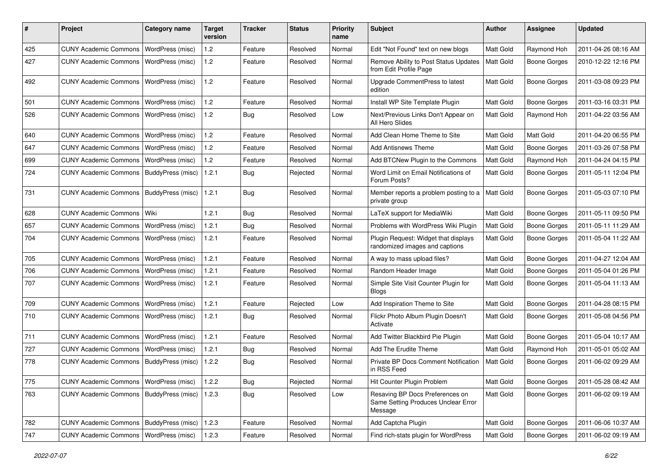| #   | Project                                   | Category name           | <b>Target</b><br>version | <b>Tracker</b> | <b>Status</b> | <b>Priority</b><br>name | Subject                                                                           | Author           | <b>Assignee</b>     | <b>Updated</b>      |
|-----|-------------------------------------------|-------------------------|--------------------------|----------------|---------------|-------------------------|-----------------------------------------------------------------------------------|------------------|---------------------|---------------------|
| 425 | <b>CUNY Academic Commons</b>              | WordPress (misc)        | 1.2                      | Feature        | Resolved      | Normal                  | Edit "Not Found" text on new blogs                                                | Matt Gold        | Raymond Hoh         | 2011-04-26 08:16 AM |
| 427 | <b>CUNY Academic Commons</b>              | WordPress (misc)        | 1.2                      | Feature        | Resolved      | Normal                  | Remove Ability to Post Status Updates<br>from Edit Profile Page                   | <b>Matt Gold</b> | <b>Boone Gorges</b> | 2010-12-22 12:16 PM |
| 492 | <b>CUNY Academic Commons</b>              | WordPress (misc)        | 1.2                      | Feature        | Resolved      | Normal                  | Upgrade CommentPress to latest<br>edition                                         | Matt Gold        | <b>Boone Gorges</b> | 2011-03-08 09:23 PM |
| 501 | <b>CUNY Academic Commons</b>              | WordPress (misc)        | 1.2                      | Feature        | Resolved      | Normal                  | Install WP Site Template Plugin                                                   | Matt Gold        | <b>Boone Gorges</b> | 2011-03-16 03:31 PM |
| 526 | <b>CUNY Academic Commons</b>              | WordPress (misc)        | 1.2                      | <b>Bug</b>     | Resolved      | Low                     | Next/Previous Links Don't Appear on<br>All Hero Slides                            | Matt Gold        | Raymond Hoh         | 2011-04-22 03:56 AM |
| 640 | <b>CUNY Academic Commons</b>              | WordPress (misc)        | 1.2                      | Feature        | Resolved      | Normal                  | Add Clean Home Theme to Site                                                      | Matt Gold        | Matt Gold           | 2011-04-20 06:55 PM |
| 647 | <b>CUNY Academic Commons</b>              | WordPress (misc)        | 1.2                      | Feature        | Resolved      | Normal                  | <b>Add Antisnews Theme</b>                                                        | Matt Gold        | <b>Boone Gorges</b> | 2011-03-26 07:58 PM |
| 699 | <b>CUNY Academic Commons</b>              | WordPress (misc)        | 1.2                      | Feature        | Resolved      | Normal                  | Add BTCNew Plugin to the Commons                                                  | Matt Gold        | Raymond Hoh         | 2011-04-24 04:15 PM |
| 724 | <b>CUNY Academic Commons</b>              | BuddyPress (misc)       | 1.2.1                    | <b>Bug</b>     | Rejected      | Normal                  | Word Limit on Email Notifications of<br>Forum Posts?                              | Matt Gold        | Boone Gorges        | 2011-05-11 12:04 PM |
| 731 | <b>CUNY Academic Commons</b>              | BuddyPress (misc)       | 1.2.1                    | <b>Bug</b>     | Resolved      | Normal                  | Member reports a problem posting to a   Matt Gold<br>private group                |                  | <b>Boone Gorges</b> | 2011-05-03 07:10 PM |
| 628 | <b>CUNY Academic Commons</b>              | Wiki                    | 1.2.1                    | <b>Bug</b>     | Resolved      | Normal                  | LaTeX support for MediaWiki                                                       | Matt Gold        | Boone Gorges        | 2011-05-11 09:50 PM |
| 657 | <b>CUNY Academic Commons</b>              | WordPress (misc)        | 1.2.1                    | <b>Bug</b>     | Resolved      | Normal                  | Problems with WordPress Wiki Plugin                                               | <b>Matt Gold</b> | Boone Gorges        | 2011-05-11 11:29 AM |
| 704 | <b>CUNY Academic Commons</b>              | WordPress (misc)        | 1.2.1                    | Feature        | Resolved      | Normal                  | Plugin Request: Widget that displays<br>randomized images and captions            | Matt Gold        | <b>Boone Gorges</b> | 2011-05-04 11:22 AM |
| 705 | <b>CUNY Academic Commons</b>              | WordPress (misc)        | 1.2.1                    | Feature        | Resolved      | Normal                  | A way to mass upload files?                                                       | Matt Gold        | <b>Boone Gorges</b> | 2011-04-27 12:04 AM |
| 706 | <b>CUNY Academic Commons</b>              | WordPress (misc)        | 1.2.1                    | Feature        | Resolved      | Normal                  | Random Header Image                                                               | Matt Gold        | <b>Boone Gorges</b> | 2011-05-04 01:26 PM |
| 707 | <b>CUNY Academic Commons</b>              | <b>WordPress (misc)</b> | 1.2.1                    | Feature        | Resolved      | Normal                  | Simple Site Visit Counter Plugin for<br><b>Blogs</b>                              | Matt Gold        | Boone Gorges        | 2011-05-04 11:13 AM |
| 709 | <b>CUNY Academic Commons</b>              | WordPress (misc)        | 1.2.1                    | Feature        | Rejected      | Low                     | Add Inspiration Theme to Site                                                     | Matt Gold        | Boone Gorges        | 2011-04-28 08:15 PM |
| 710 | <b>CUNY Academic Commons</b>              | <b>WordPress (misc)</b> | 1.2.1                    | Bug            | Resolved      | Normal                  | Flickr Photo Album Plugin Doesn't<br>Activate                                     | <b>Matt Gold</b> | Boone Gorges        | 2011-05-08 04:56 PM |
| 711 | <b>CUNY Academic Commons</b>              | WordPress (misc)        | 1.2.1                    | Feature        | Resolved      | Normal                  | Add Twitter Blackbird Pie Plugin                                                  | Matt Gold        | Boone Gorges        | 2011-05-04 10:17 AM |
| 727 | <b>CUNY Academic Commons</b>              | WordPress (misc)        | 1.2.1                    | Bug            | Resolved      | Normal                  | Add The Erudite Theme                                                             | Matt Gold        | Raymond Hoh         | 2011-05-01 05:02 AM |
| 778 | <b>CUNY Academic Commons</b>              | BuddyPress (misc)       | 1.2.2                    | <b>Bug</b>     | Resolved      | Normal                  | Private BP Docs Comment Notification<br>in RSS Feed                               | <b>Matt Gold</b> | <b>Boone Gorges</b> | 2011-06-02 09:29 AM |
| 775 | CUNY Academic Commons   WordPress (misc)  |                         | 1.2.2                    | Bug            | Rejected      | Normal                  | Hit Counter Plugin Problem                                                        | Matt Gold        | <b>Boone Gorges</b> | 2011-05-28 08:42 AM |
| 763 | CUNY Academic Commons   BuddyPress (misc) |                         | 1.2.3                    | <b>Bug</b>     | Resolved      | Low                     | Resaving BP Docs Preferences on<br>Same Setting Produces Unclear Error<br>Message | Matt Gold        | Boone Gorges        | 2011-06-02 09:19 AM |
| 782 | <b>CUNY Academic Commons</b>              | BuddyPress (misc)       | 1.2.3                    | Feature        | Resolved      | Normal                  | Add Captcha Plugin                                                                | Matt Gold        | Boone Gorges        | 2011-06-06 10:37 AM |
| 747 | CUNY Academic Commons   WordPress (misc)  |                         | 1.2.3                    | Feature        | Resolved      | Normal                  | Find rich-stats plugin for WordPress                                              | Matt Gold        | <b>Boone Gorges</b> | 2011-06-02 09:19 AM |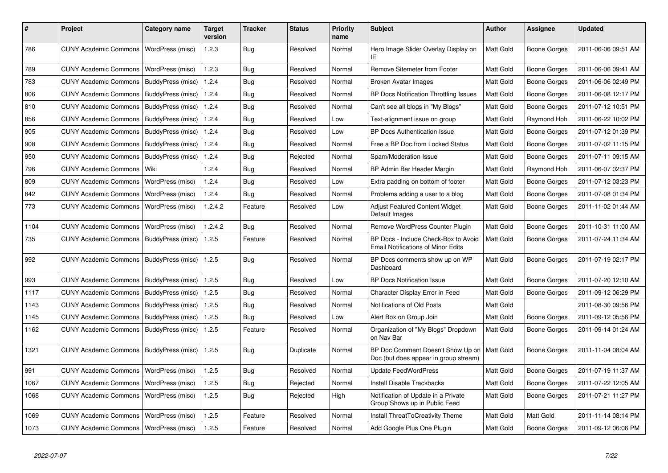| #    | Project                                   | Category name           | Target<br>version | <b>Tracker</b> | <b>Status</b> | <b>Priority</b><br>name | <b>Subject</b>                                                                    | <b>Author</b> | <b>Assignee</b>     | <b>Updated</b>      |
|------|-------------------------------------------|-------------------------|-------------------|----------------|---------------|-------------------------|-----------------------------------------------------------------------------------|---------------|---------------------|---------------------|
| 786  | <b>CUNY Academic Commons</b>              | WordPress (misc)        | 1.2.3             | Bug            | Resolved      | Normal                  | Hero Image Slider Overlay Display on<br>IE                                        | Matt Gold     | <b>Boone Gorges</b> | 2011-06-06 09:51 AM |
| 789  | <b>CUNY Academic Commons</b>              | WordPress (misc)        | 1.2.3             | Bug            | Resolved      | Normal                  | <b>Remove Sitemeter from Footer</b>                                               | Matt Gold     | <b>Boone Gorges</b> | 2011-06-06 09:41 AM |
| 783  | <b>CUNY Academic Commons</b>              | BuddyPress (misc)       | 1.2.4             | Bug            | Resolved      | Normal                  | Broken Avatar Images                                                              | Matt Gold     | Boone Gorges        | 2011-06-06 02:49 PM |
| 806  | <b>CUNY Academic Commons</b>              | BuddyPress (misc)       | 1.2.4             | Bug            | Resolved      | Normal                  | <b>BP Docs Notification Throttling Issues</b>                                     | Matt Gold     | <b>Boone Gorges</b> | 2011-06-08 12:17 PM |
| 810  | <b>CUNY Academic Commons</b>              | BuddyPress (misc)       | 1.2.4             | Bug            | Resolved      | Normal                  | Can't see all blogs in "My Blogs"                                                 | Matt Gold     | Boone Gorges        | 2011-07-12 10:51 PM |
| 856  | <b>CUNY Academic Commons</b>              | BuddyPress (misc)       | 1.2.4             | Bug            | Resolved      | Low                     | Text-alignment issue on group                                                     | Matt Gold     | Raymond Hoh         | 2011-06-22 10:02 PM |
| 905  | <b>CUNY Academic Commons</b>              | BuddyPress (misc)       | 1.2.4             | Bug            | Resolved      | Low                     | <b>BP Docs Authentication Issue</b>                                               | Matt Gold     | Boone Gorges        | 2011-07-12 01:39 PM |
| 908  | <b>CUNY Academic Commons</b>              | BuddyPress (misc)       | 1.2.4             | Bug            | Resolved      | Normal                  | Free a BP Doc from Locked Status                                                  | Matt Gold     | <b>Boone Gorges</b> | 2011-07-02 11:15 PM |
| 950  | <b>CUNY Academic Commons</b>              | BuddyPress (misc)       | 1.2.4             | Bug            | Rejected      | Normal                  | Spam/Moderation Issue                                                             | Matt Gold     | Boone Gorges        | 2011-07-11 09:15 AM |
| 796  | <b>CUNY Academic Commons</b>              | Wiki                    | 1.2.4             | Bug            | Resolved      | Normal                  | BP Admin Bar Header Margin                                                        | Matt Gold     | Raymond Hoh         | 2011-06-07 02:37 PM |
| 809  | <b>CUNY Academic Commons</b>              | WordPress (misc)        | 1.2.4             | Bug            | Resolved      | Low                     | Extra padding on bottom of footer                                                 | Matt Gold     | <b>Boone Gorges</b> | 2011-07-12 03:23 PM |
| 842  | <b>CUNY Academic Commons</b>              | WordPress (misc)        | 1.2.4             | Bug            | Resolved      | Normal                  | Problems adding a user to a blog                                                  | Matt Gold     | Boone Gorges        | 2011-07-08 01:34 PM |
| 773  | <b>CUNY Academic Commons</b>              | WordPress (misc)        | 1.2.4.2           | Feature        | Resolved      | Low                     | Adjust Featured Content Widget<br>Default Images                                  | Matt Gold     | Boone Gorges        | 2011-11-02 01:44 AM |
| 1104 | <b>CUNY Academic Commons</b>              | WordPress (misc)        | 1.2.4.2           | Bug            | Resolved      | Normal                  | Remove WordPress Counter Plugin                                                   | Matt Gold     | <b>Boone Gorges</b> | 2011-10-31 11:00 AM |
| 735  | <b>CUNY Academic Commons</b>              | BuddyPress (misc)       | 1.2.5             | Feature        | Resolved      | Normal                  | BP Docs - Include Check-Box to Avoid<br><b>Email Notifications of Minor Edits</b> | Matt Gold     | Boone Gorges        | 2011-07-24 11:34 AM |
| 992  | <b>CUNY Academic Commons</b>              | BuddyPress (misc)       | 1.2.5             | Bug            | Resolved      | Normal                  | BP Docs comments show up on WP<br>Dashboard                                       | Matt Gold     | <b>Boone Gorges</b> | 2011-07-19 02:17 PM |
| 993  | <b>CUNY Academic Commons</b>              | BuddyPress (misc)       | 1.2.5             | Bug            | Resolved      | Low                     | <b>BP Docs Notification Issue</b>                                                 | Matt Gold     | Boone Gorges        | 2011-07-20 12:10 AM |
| 1117 | <b>CUNY Academic Commons</b>              | BuddyPress (misc)       | 1.2.5             | Bug            | Resolved      | Normal                  | Character Display Error in Feed                                                   | Matt Gold     | Boone Gorges        | 2011-09-12 06:29 PM |
| 1143 | <b>CUNY Academic Commons</b>              | BuddyPress (misc)       | 1.2.5             | Bug            | Resolved      | Normal                  | Notifications of Old Posts                                                        | Matt Gold     |                     | 2011-08-30 09:56 PM |
| 1145 | <b>CUNY Academic Commons</b>              | BuddyPress (misc)       | 1.2.5             | <b>Bug</b>     | Resolved      | Low                     | Alert Box on Group Join                                                           | Matt Gold     | Boone Gorges        | 2011-09-12 05:56 PM |
| 1162 | <b>CUNY Academic Commons</b>              | BuddyPress (misc)       | 1.2.5             | Feature        | Resolved      | Normal                  | Organization of "My Blogs" Dropdown<br>on Nav Bar                                 | Matt Gold     | Boone Gorges        | 2011-09-14 01:24 AM |
| 1321 | CUNY Academic Commons   BuddyPress (misc) |                         | 1.2.5             | Bug            | Duplicate     | Normal                  | BP Doc Comment Doesn't Show Up on<br>Doc (but does appear in group stream)        | Matt Gold     | Boone Gorges        | 2011-11-04 08:04 AM |
| 991  | <b>CUNY Academic Commons</b>              | WordPress (misc)        | 1.2.5             | <b>Bug</b>     | Resolved      | Normal                  | <b>Update FeedWordPress</b>                                                       | Matt Gold     | Boone Gorges        | 2011-07-19 11:37 AM |
| 1067 | <b>CUNY Academic Commons</b>              | WordPress (misc)        | 1.2.5             | <b>Bug</b>     | Rejected      | Normal                  | Install Disable Trackbacks                                                        | Matt Gold     | <b>Boone Gorges</b> | 2011-07-22 12:05 AM |
| 1068 | <b>CUNY Academic Commons</b>              | WordPress (misc)        | 1.2.5             | Bug            | Rejected      | High                    | Notification of Update in a Private<br>Group Shows up in Public Feed              | Matt Gold     | Boone Gorges        | 2011-07-21 11:27 PM |
| 1069 | <b>CUNY Academic Commons</b>              | WordPress (misc)        | 1.2.5             | Feature        | Resolved      | Normal                  | Install ThreatToCreativity Theme                                                  | Matt Gold     | Matt Gold           | 2011-11-14 08:14 PM |
| 1073 | <b>CUNY Academic Commons</b>              | <b>WordPress (misc)</b> | 1.2.5             | Feature        | Resolved      | Normal                  | Add Google Plus One Plugin                                                        | Matt Gold     | <b>Boone Gorges</b> | 2011-09-12 06:06 PM |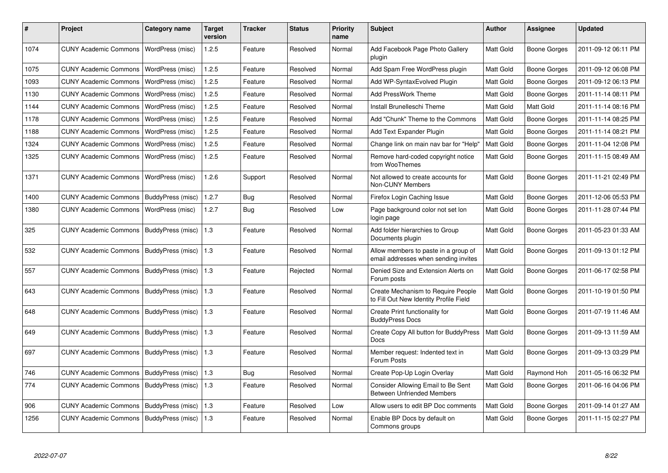| #    | Project                      | Category name     | Target<br>version | <b>Tracker</b> | <b>Status</b> | <b>Priority</b><br>name | <b>Subject</b>                                                                      | Author           | Assignee            | <b>Updated</b>      |
|------|------------------------------|-------------------|-------------------|----------------|---------------|-------------------------|-------------------------------------------------------------------------------------|------------------|---------------------|---------------------|
| 1074 | <b>CUNY Academic Commons</b> | WordPress (misc)  | 1.2.5             | Feature        | Resolved      | Normal                  | Add Facebook Page Photo Gallery<br>plugin                                           | Matt Gold        | Boone Gorges        | 2011-09-12 06:11 PM |
| 1075 | <b>CUNY Academic Commons</b> | WordPress (misc)  | 1.2.5             | Feature        | Resolved      | Normal                  | Add Spam Free WordPress plugin                                                      | Matt Gold        | Boone Gorges        | 2011-09-12 06:08 PM |
| 1093 | <b>CUNY Academic Commons</b> | WordPress (misc)  | 1.2.5             | Feature        | Resolved      | Normal                  | Add WP-SyntaxEvolved Plugin                                                         | Matt Gold        | Boone Gorges        | 2011-09-12 06:13 PM |
| 1130 | <b>CUNY Academic Commons</b> | WordPress (misc)  | 1.2.5             | Feature        | Resolved      | Normal                  | <b>Add PressWork Theme</b>                                                          | <b>Matt Gold</b> | Boone Gorges        | 2011-11-14 08:11 PM |
| 1144 | <b>CUNY Academic Commons</b> | WordPress (misc)  | 1.2.5             | Feature        | Resolved      | Normal                  | Install Brunelleschi Theme                                                          | <b>Matt Gold</b> | Matt Gold           | 2011-11-14 08:16 PM |
| 1178 | <b>CUNY Academic Commons</b> | WordPress (misc)  | 1.2.5             | Feature        | Resolved      | Normal                  | Add "Chunk" Theme to the Commons                                                    | <b>Matt Gold</b> | Boone Gorges        | 2011-11-14 08:25 PM |
| 1188 | <b>CUNY Academic Commons</b> | WordPress (misc)  | 1.2.5             | Feature        | Resolved      | Normal                  | Add Text Expander Plugin                                                            | Matt Gold        | Boone Gorges        | 2011-11-14 08:21 PM |
| 1324 | <b>CUNY Academic Commons</b> | WordPress (misc)  | 1.2.5             | Feature        | Resolved      | Normal                  | Change link on main nav bar for "Help"                                              | Matt Gold        | <b>Boone Gorges</b> | 2011-11-04 12:08 PM |
| 1325 | <b>CUNY Academic Commons</b> | WordPress (misc)  | 1.2.5             | Feature        | Resolved      | Normal                  | Remove hard-coded copyright notice<br>from WooThemes                                | Matt Gold        | Boone Gorges        | 2011-11-15 08:49 AM |
| 1371 | <b>CUNY Academic Commons</b> | WordPress (misc)  | 1.2.6             | Support        | Resolved      | Normal                  | Not allowed to create accounts for<br>Non-CUNY Members                              | <b>Matt Gold</b> | Boone Gorges        | 2011-11-21 02:49 PM |
| 1400 | <b>CUNY Academic Commons</b> | BuddyPress (misc) | 1.2.7             | Bug            | Resolved      | Normal                  | Firefox Login Caching Issue                                                         | Matt Gold        | Boone Gorges        | 2011-12-06 05:53 PM |
| 1380 | <b>CUNY Academic Commons</b> | WordPress (misc)  | 1.2.7             | <b>Bug</b>     | Resolved      | Low                     | Page background color not set lon<br>login page                                     | Matt Gold        | <b>Boone Gorges</b> | 2011-11-28 07:44 PM |
| 325  | <b>CUNY Academic Commons</b> | BuddyPress (misc) | 1.3               | Feature        | Resolved      | Normal                  | Add folder hierarchies to Group<br>Documents plugin                                 | Matt Gold        | Boone Gorges        | 2011-05-23 01:33 AM |
| 532  | <b>CUNY Academic Commons</b> | BuddyPress (misc) | 1.3               | Feature        | Resolved      | Normal                  | Allow members to paste in a group of<br>email addresses when sending invites        | Matt Gold        | Boone Gorges        | 2011-09-13 01:12 PM |
| 557  | <b>CUNY Academic Commons</b> | BuddyPress (misc) | 1.3               | Feature        | Rejected      | Normal                  | Denied Size and Extension Alerts on<br>Forum posts                                  | Matt Gold        | <b>Boone Gorges</b> | 2011-06-17 02:58 PM |
| 643  | <b>CUNY Academic Commons</b> | BuddyPress (misc) | 1.3               | Feature        | Resolved      | Normal                  | <b>Create Mechanism to Require People</b><br>to Fill Out New Identity Profile Field | Matt Gold        | <b>Boone Gorges</b> | 2011-10-19 01:50 PM |
| 648  | <b>CUNY Academic Commons</b> | BuddyPress (misc) | 1.3               | Feature        | Resolved      | Normal                  | Create Print functionality for<br><b>BuddvPress Docs</b>                            | <b>Matt Gold</b> | Boone Gorges        | 2011-07-19 11:46 AM |
| 649  | <b>CUNY Academic Commons</b> | BuddyPress (misc) | 1.3               | Feature        | Resolved      | Normal                  | Create Copy All button for BuddyPress<br><b>Docs</b>                                | Matt Gold        | Boone Gorges        | 2011-09-13 11:59 AM |
| 697  | <b>CUNY Academic Commons</b> | BuddyPress (misc) | 1.3               | Feature        | Resolved      | Normal                  | Member request: Indented text in<br>Forum Posts                                     | Matt Gold        | Boone Gorges        | 2011-09-13 03:29 PM |
| 746  | <b>CUNY Academic Commons</b> | BuddyPress (misc) | 1.3               | Bug            | Resolved      | Normal                  | Create Pop-Up Login Overlay                                                         | Matt Gold        | Raymond Hoh         | 2011-05-16 06:32 PM |
| 774  | <b>CUNY Academic Commons</b> | BuddyPress (misc) | 1.3               | Feature        | Resolved      | Normal                  | Consider Allowing Email to Be Sent<br><b>Between Unfriended Members</b>             | <b>Matt Gold</b> | Boone Gorges        | 2011-06-16 04:06 PM |
| 906  | <b>CUNY Academic Commons</b> | BuddyPress (misc) | 1.3               | Feature        | Resolved      | Low                     | Allow users to edit BP Doc comments                                                 | <b>Matt Gold</b> | Boone Gorges        | 2011-09-14 01:27 AM |
| 1256 | <b>CUNY Academic Commons</b> | BuddyPress (misc) | 1.3               | Feature        | Resolved      | Normal                  | Enable BP Docs by default on<br>Commons groups                                      | Matt Gold        | Boone Gorges        | 2011-11-15 02:27 PM |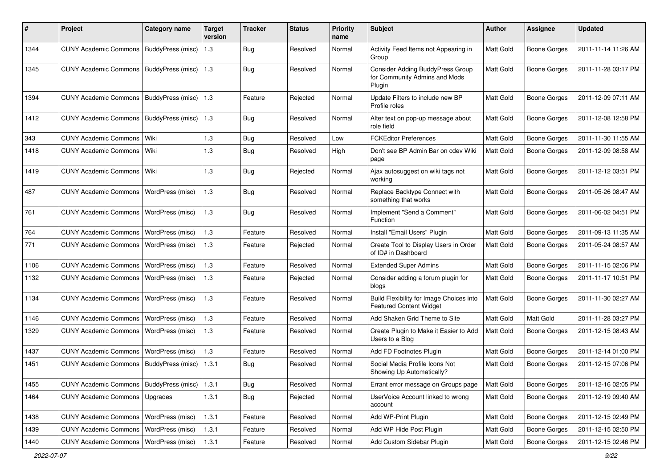| #    | Project                                           | <b>Category name</b>     | <b>Target</b><br>version | <b>Tracker</b> | <b>Status</b> | <b>Priority</b><br>name | <b>Subject</b>                                                              | Author           | <b>Assignee</b>     | <b>Updated</b>      |
|------|---------------------------------------------------|--------------------------|--------------------------|----------------|---------------|-------------------------|-----------------------------------------------------------------------------|------------------|---------------------|---------------------|
| 1344 | <b>CUNY Academic Commons</b>                      | BuddyPress (misc)        | 1.3                      | <b>Bug</b>     | Resolved      | Normal                  | Activity Feed Items not Appearing in<br>Group                               | Matt Gold        | <b>Boone Gorges</b> | 2011-11-14 11:26 AM |
| 1345 | <b>CUNY Academic Commons</b>                      | BuddyPress (misc)        | 1.3                      | Bug            | Resolved      | Normal                  | Consider Adding BuddyPress Group<br>for Community Admins and Mods<br>Plugin | Matt Gold        | <b>Boone Gorges</b> | 2011-11-28 03:17 PM |
| 1394 | <b>CUNY Academic Commons</b>                      | BuddyPress (misc)        | 1.3                      | Feature        | Rejected      | Normal                  | Update Filters to include new BP<br>Profile roles                           | Matt Gold        | <b>Boone Gorges</b> | 2011-12-09 07:11 AM |
| 1412 | <b>CUNY Academic Commons</b>                      | BuddyPress (misc)        | 1.3                      | <b>Bug</b>     | Resolved      | Normal                  | Alter text on pop-up message about<br>role field                            | Matt Gold        | Boone Gorges        | 2011-12-08 12:58 PM |
| 343  | <b>CUNY Academic Commons</b>                      | Wiki                     | 1.3                      | <b>Bug</b>     | Resolved      | Low                     | <b>FCKEditor Preferences</b>                                                | Matt Gold        | <b>Boone Gorges</b> | 2011-11-30 11:55 AM |
| 1418 | CUNY Academic Commons   Wiki                      |                          | 1.3                      | <b>Bug</b>     | Resolved      | High                    | Don't see BP Admin Bar on cdev Wiki<br>page                                 | Matt Gold        | Boone Gorges        | 2011-12-09 08:58 AM |
| 1419 | <b>CUNY Academic Commons</b>                      | Wiki                     | 1.3                      | <b>Bug</b>     | Rejected      | Normal                  | Ajax autosuggest on wiki tags not<br>working                                | Matt Gold        | <b>Boone Gorges</b> | 2011-12-12 03:51 PM |
| 487  | <b>CUNY Academic Commons</b>                      | WordPress (misc)         | 1.3                      | <b>Bug</b>     | Resolved      | Normal                  | Replace Backtype Connect with<br>something that works                       | Matt Gold        | Boone Gorges        | 2011-05-26 08:47 AM |
| 761  | <b>CUNY Academic Commons</b>                      | WordPress (misc)         | 1.3                      | <b>Bug</b>     | Resolved      | Normal                  | Implement "Send a Comment"<br>Function                                      | Matt Gold        | Boone Gorges        | 2011-06-02 04:51 PM |
| 764  | <b>CUNY Academic Commons</b>                      | WordPress (misc)         | 1.3                      | Feature        | Resolved      | Normal                  | Install "Email Users" Plugin                                                | Matt Gold        | <b>Boone Gorges</b> | 2011-09-13 11:35 AM |
| 771  | <b>CUNY Academic Commons</b>                      | WordPress (misc)         | 1.3                      | Feature        | Rejected      | Normal                  | Create Tool to Display Users in Order<br>of ID# in Dashboard                | <b>Matt Gold</b> | <b>Boone Gorges</b> | 2011-05-24 08:57 AM |
| 1106 | <b>CUNY Academic Commons</b>                      | WordPress (misc)         | $1.3$                    | Feature        | Resolved      | Normal                  | <b>Extended Super Admins</b>                                                | Matt Gold        | Boone Gorges        | 2011-11-15 02:06 PM |
| 1132 | <b>CUNY Academic Commons</b>                      | WordPress (misc)         | 1.3                      | Feature        | Rejected      | Normal                  | Consider adding a forum plugin for<br>blogs                                 | <b>Matt Gold</b> | Boone Gorges        | 2011-11-17 10:51 PM |
| 1134 | <b>CUNY Academic Commons</b>                      | WordPress (misc)         | 1.3                      | Feature        | Resolved      | Normal                  | Build Flexibility for Image Choices into<br><b>Featured Content Widget</b>  | Matt Gold        | Boone Gorges        | 2011-11-30 02:27 AM |
| 1146 | <b>CUNY Academic Commons</b>                      | WordPress (misc)         | $1.3$                    | Feature        | Resolved      | Normal                  | Add Shaken Grid Theme to Site                                               | <b>Matt Gold</b> | Matt Gold           | 2011-11-28 03:27 PM |
| 1329 | <b>CUNY Academic Commons</b>                      | WordPress (misc)         | 1.3                      | Feature        | Resolved      | Normal                  | Create Plugin to Make it Easier to Add<br>Users to a Blog                   | Matt Gold        | Boone Gorges        | 2011-12-15 08:43 AM |
| 1437 | <b>CUNY Academic Commons</b>                      | WordPress (misc)         | 1.3                      | Feature        | Resolved      | Normal                  | Add FD Footnotes Plugin                                                     | Matt Gold        | Boone Gorges        | 2011-12-14 01:00 PM |
| 1451 | <b>CUNY Academic Commons</b>                      | <b>BuddyPress (misc)</b> | 1.3.1                    | <b>Bug</b>     | Resolved      | Normal                  | Social Media Profile Icons Not<br>Showing Up Automatically?                 | <b>Matt Gold</b> | Boone Gorges        | 2011-12-15 07:06 PM |
| 1455 | CUNY Academic Commons   BuddyPress (misc)   1.3.1 |                          |                          | <b>Bug</b>     | Resolved      | Normal                  | Errant error message on Groups page                                         | Matt Gold        | <b>Boone Gorges</b> | 2011-12-16 02:05 PM |
| 1464 | CUNY Academic Commons   Upgrades                  |                          | 1.3.1                    | <b>Bug</b>     | Rejected      | Normal                  | UserVoice Account linked to wrong<br>account                                | Matt Gold        | Boone Gorges        | 2011-12-19 09:40 AM |
| 1438 | CUNY Academic Commons   WordPress (misc)          |                          | 1.3.1                    | Feature        | Resolved      | Normal                  | Add WP-Print Plugin                                                         | Matt Gold        | Boone Gorges        | 2011-12-15 02:49 PM |
| 1439 | <b>CUNY Academic Commons</b>                      | WordPress (misc)         | 1.3.1                    | Feature        | Resolved      | Normal                  | Add WP Hide Post Plugin                                                     | Matt Gold        | <b>Boone Gorges</b> | 2011-12-15 02:50 PM |
| 1440 | <b>CUNY Academic Commons</b>                      | WordPress (misc)         | 1.3.1                    | Feature        | Resolved      | Normal                  | Add Custom Sidebar Plugin                                                   | Matt Gold        | Boone Gorges        | 2011-12-15 02:46 PM |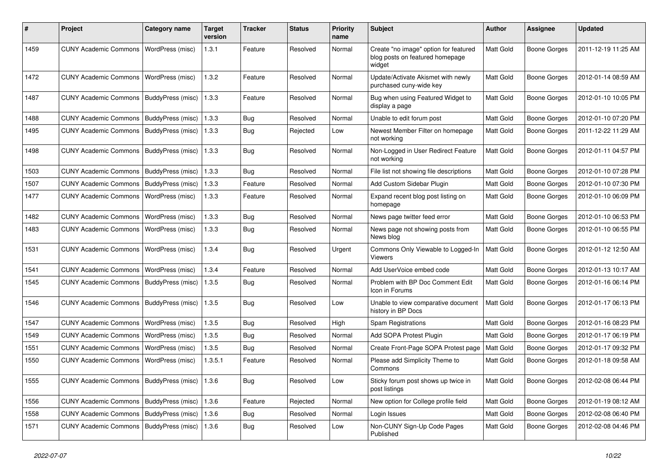| ∦    | Project                                           | Category name            | <b>Target</b><br>version | Tracker    | <b>Status</b> | <b>Priority</b><br>name | <b>Subject</b>                                                                     | <b>Author</b>    | <b>Assignee</b>     | <b>Updated</b>      |
|------|---------------------------------------------------|--------------------------|--------------------------|------------|---------------|-------------------------|------------------------------------------------------------------------------------|------------------|---------------------|---------------------|
| 1459 | <b>CUNY Academic Commons</b>                      | <b>WordPress</b> (misc)  | 1.3.1                    | Feature    | Resolved      | Normal                  | Create "no image" option for featured<br>blog posts on featured homepage<br>widget | Matt Gold        | <b>Boone Gorges</b> | 2011-12-19 11:25 AM |
| 1472 | <b>CUNY Academic Commons</b>                      | WordPress (misc)         | 1.3.2                    | Feature    | Resolved      | Normal                  | Update/Activate Akismet with newly<br>purchased cuny-wide key                      | <b>Matt Gold</b> | <b>Boone Gorges</b> | 2012-01-14 08:59 AM |
| 1487 | <b>CUNY Academic Commons</b>                      | BuddyPress (misc)        | 1.3.3                    | Feature    | Resolved      | Normal                  | Bug when using Featured Widget to<br>display a page                                | <b>Matt Gold</b> | <b>Boone Gorges</b> | 2012-01-10 10:05 PM |
| 1488 | <b>CUNY Academic Commons</b>                      | BuddyPress (misc)        | 1.3.3                    | <b>Bug</b> | Resolved      | Normal                  | Unable to edit forum post                                                          | Matt Gold        | <b>Boone Gorges</b> | 2012-01-10 07:20 PM |
| 1495 | <b>CUNY Academic Commons</b>                      | BuddyPress (misc)        | 1.3.3                    | Bug        | Rejected      | Low                     | Newest Member Filter on homepage<br>not working                                    | <b>Matt Gold</b> | <b>Boone Gorges</b> | 2011-12-22 11:29 AM |
| 1498 | <b>CUNY Academic Commons</b>                      | BuddyPress (misc)        | 1.3.3                    | Bug        | Resolved      | Normal                  | Non-Logged in User Redirect Feature<br>not working                                 | Matt Gold        | Boone Gorges        | 2012-01-11 04:57 PM |
| 1503 | <b>CUNY Academic Commons</b>                      | BuddyPress (misc)        | 1.3.3                    | Bug        | Resolved      | Normal                  | File list not showing file descriptions                                            | Matt Gold        | Boone Gorges        | 2012-01-10 07:28 PM |
| 1507 | <b>CUNY Academic Commons</b>                      | <b>BuddyPress (misc)</b> | 1.3.3                    | Feature    | Resolved      | Normal                  | Add Custom Sidebar Plugin                                                          | Matt Gold        | <b>Boone Gorges</b> | 2012-01-10 07:30 PM |
| 1477 | <b>CUNY Academic Commons</b>                      | WordPress (misc)         | 1.3.3                    | Feature    | Resolved      | Normal                  | Expand recent blog post listing on<br>homepage                                     | Matt Gold        | <b>Boone Gorges</b> | 2012-01-10 06:09 PM |
| 1482 | <b>CUNY Academic Commons</b>                      | WordPress (misc)         | 1.3.3                    | Bug        | Resolved      | Normal                  | News page twitter feed error                                                       | Matt Gold        | <b>Boone Gorges</b> | 2012-01-10 06:53 PM |
| 1483 | <b>CUNY Academic Commons</b>                      | WordPress (misc)         | 1.3.3                    | Bug        | Resolved      | Normal                  | News page not showing posts from<br>News blog                                      | <b>Matt Gold</b> | Boone Gorges        | 2012-01-10 06:55 PM |
| 1531 | <b>CUNY Academic Commons</b>                      | WordPress (misc)         | 1.3.4                    | Bug        | Resolved      | Urgent                  | Commons Only Viewable to Logged-In<br>Viewers                                      | <b>Matt Gold</b> | <b>Boone Gorges</b> | 2012-01-12 12:50 AM |
| 1541 | <b>CUNY Academic Commons</b>                      | WordPress (misc)         | 1.3.4                    | Feature    | Resolved      | Normal                  | Add UserVoice embed code                                                           | Matt Gold        | Boone Gorges        | 2012-01-13 10:17 AM |
| 1545 | <b>CUNY Academic Commons</b>                      | BuddyPress (misc)        | 1.3.5                    | Bug        | Resolved      | Normal                  | Problem with BP Doc Comment Edit<br>Icon in Forums                                 | <b>Matt Gold</b> | <b>Boone Gorges</b> | 2012-01-16 06:14 PM |
| 1546 | <b>CUNY Academic Commons</b>                      | BuddyPress (misc)        | 1.3.5                    | Bug        | Resolved      | Low                     | Unable to view comparative document<br>history in BP Docs                          | Matt Gold        | <b>Boone Gorges</b> | 2012-01-17 06:13 PM |
| 1547 | <b>CUNY Academic Commons</b>                      | WordPress (misc)         | 1.3.5                    | Bug        | Resolved      | High                    | Spam Registrations                                                                 | Matt Gold        | Boone Gorges        | 2012-01-16 08:23 PM |
| 1549 | <b>CUNY Academic Commons</b>                      | WordPress (misc)         | 1.3.5                    | <b>Bug</b> | Resolved      | Normal                  | Add SOPA Protest Plugin                                                            | Matt Gold        | Boone Gorges        | 2012-01-17 06:19 PM |
| 1551 | <b>CUNY Academic Commons</b>                      | WordPress (misc)         | 1.3.5                    | Bug        | Resolved      | Normal                  | Create Front-Page SOPA Protest page                                                | Matt Gold        | <b>Boone Gorges</b> | 2012-01-17 09:32 PM |
| 1550 | <b>CUNY Academic Commons</b>                      | WordPress (misc)         | 1.3.5.1                  | Feature    | Resolved      | Normal                  | Please add Simplicity Theme to<br>Commons                                          | <b>Matt Gold</b> | Boone Gorges        | 2012-01-18 09:58 AM |
| 1555 | CUNY Academic Commons   BuddyPress (misc)   1.3.6 |                          |                          | <b>Bug</b> | Resolved      | Low                     | Sticky forum post shows up twice in<br>post listings                               | Matt Gold        | <b>Boone Gorges</b> | 2012-02-08 06:44 PM |
| 1556 | CUNY Academic Commons   BuddyPress (misc)   1.3.6 |                          |                          | Feature    | Rejected      | Normal                  | New option for College profile field                                               | Matt Gold        | <b>Boone Gorges</b> | 2012-01-19 08:12 AM |
| 1558 | <b>CUNY Academic Commons</b>                      | BuddyPress (misc)        | 1.3.6                    | <b>Bug</b> | Resolved      | Normal                  | Login Issues                                                                       | <b>Matt Gold</b> | Boone Gorges        | 2012-02-08 06:40 PM |
| 1571 | CUNY Academic Commons   BuddyPress (misc)   1.3.6 |                          |                          | <b>Bug</b> | Resolved      | Low                     | Non-CUNY Sign-Up Code Pages<br>Published                                           | Matt Gold        | Boone Gorges        | 2012-02-08 04:46 PM |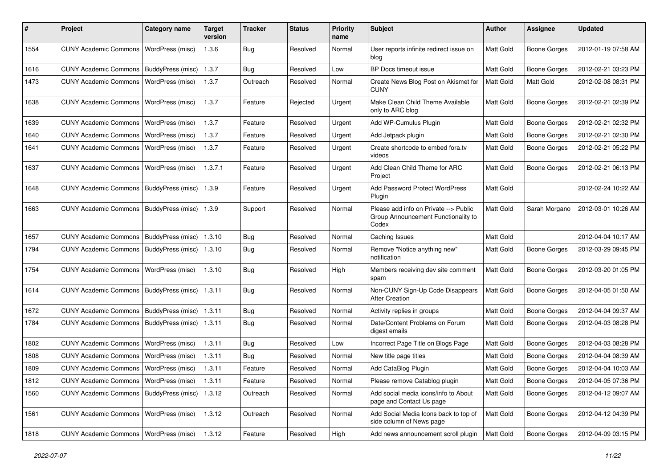| ∦    | Project                                   | <b>Category name</b>     | <b>Target</b><br>version | <b>Tracker</b> | <b>Status</b> | <b>Priority</b><br>name | <b>Subject</b>                                                                        | Author           | <b>Assignee</b>     | <b>Updated</b>      |
|------|-------------------------------------------|--------------------------|--------------------------|----------------|---------------|-------------------------|---------------------------------------------------------------------------------------|------------------|---------------------|---------------------|
| 1554 | <b>CUNY Academic Commons</b>              | WordPress (misc)         | 1.3.6                    | Bug            | Resolved      | Normal                  | User reports infinite redirect issue on<br>blog                                       | Matt Gold        | <b>Boone Gorges</b> | 2012-01-19 07:58 AM |
| 1616 | CUNY Academic Commons   BuddyPress (misc) |                          | 1.3.7                    | <b>Bug</b>     | Resolved      | Low                     | BP Docs timeout issue                                                                 | Matt Gold        | <b>Boone Gorges</b> | 2012-02-21 03:23 PM |
| 1473 | <b>CUNY Academic Commons</b>              | WordPress (misc)         | 1.3.7                    | Outreach       | Resolved      | Normal                  | Create News Blog Post on Akismet for<br><b>CUNY</b>                                   | Matt Gold        | Matt Gold           | 2012-02-08 08:31 PM |
| 1638 | <b>CUNY Academic Commons</b>              | WordPress (misc)         | 1.3.7                    | Feature        | Rejected      | Urgent                  | Make Clean Child Theme Available<br>only to ARC blog                                  | Matt Gold        | <b>Boone Gorges</b> | 2012-02-21 02:39 PM |
| 1639 | <b>CUNY Academic Commons</b>              | WordPress (misc)         | 1.3.7                    | Feature        | Resolved      | Urgent                  | Add WP-Cumulus Plugin                                                                 | Matt Gold        | <b>Boone Gorges</b> | 2012-02-21 02:32 PM |
| 1640 | <b>CUNY Academic Commons</b>              | WordPress (misc)         | 1.3.7                    | Feature        | Resolved      | Urgent                  | Add Jetpack plugin                                                                    | Matt Gold        | <b>Boone Gorges</b> | 2012-02-21 02:30 PM |
| 1641 | <b>CUNY Academic Commons</b>              | WordPress (misc)         | 1.3.7                    | Feature        | Resolved      | Urgent                  | Create shortcode to embed fora.tv<br>videos                                           | Matt Gold        | <b>Boone Gorges</b> | 2012-02-21 05:22 PM |
| 1637 | <b>CUNY Academic Commons</b>              | WordPress (misc)         | 1.3.7.1                  | Feature        | Resolved      | Urgent                  | Add Clean Child Theme for ARC<br>Project                                              | Matt Gold        | <b>Boone Gorges</b> | 2012-02-21 06:13 PM |
| 1648 | CUNY Academic Commons   BuddyPress (misc) |                          | 1.3.9                    | Feature        | Resolved      | Urgent                  | Add Password Protect WordPress<br>Plugin                                              | Matt Gold        |                     | 2012-02-24 10:22 AM |
| 1663 | <b>CUNY Academic Commons</b>              | BuddyPress (misc)        | 1.3.9                    | Support        | Resolved      | Normal                  | Please add info on Private --> Public<br>Group Announcement Functionality to<br>Codex | Matt Gold        | Sarah Morgano       | 2012-03-01 10:26 AM |
| 1657 | CUNY Academic Commons   BuddyPress (misc) |                          | 1.3.10                   | Bug            | Resolved      | Normal                  | Caching Issues                                                                        | Matt Gold        |                     | 2012-04-04 10:17 AM |
| 1794 | CUNY Academic Commons   BuddyPress (misc) |                          | 1.3.10                   | Bug            | Resolved      | Normal                  | Remove "Notice anything new"<br>notification                                          | Matt Gold        | <b>Boone Gorges</b> | 2012-03-29 09:45 PM |
| 1754 | <b>CUNY Academic Commons</b>              | WordPress (misc)         | 1.3.10                   | Bug            | Resolved      | High                    | Members receiving dev site comment<br>spam                                            | Matt Gold        | Boone Gorges        | 2012-03-20 01:05 PM |
| 1614 | <b>CUNY Academic Commons</b>              | BuddyPress (misc)        | 1.3.11                   | Bug            | Resolved      | Normal                  | Non-CUNY Sign-Up Code Disappears<br><b>After Creation</b>                             | Matt Gold        | <b>Boone Gorges</b> | 2012-04-05 01:50 AM |
| 1672 | CUNY Academic Commons   BuddyPress (misc) |                          | 1.3.11                   | Bug            | Resolved      | Normal                  | Activity replies in groups                                                            | Matt Gold        | <b>Boone Gorges</b> | 2012-04-04 09:37 AM |
| 1784 | <b>CUNY Academic Commons</b>              | <b>BuddyPress (misc)</b> | 1.3.11                   | Bug            | Resolved      | Normal                  | Date/Content Problems on Forum<br>digest emails                                       | Matt Gold        | <b>Boone Gorges</b> | 2012-04-03 08:28 PM |
| 1802 | <b>CUNY Academic Commons</b>              | WordPress (misc)         | 1.3.11                   | Bug            | Resolved      | Low                     | Incorrect Page Title on Blogs Page                                                    | Matt Gold        | <b>Boone Gorges</b> | 2012-04-03 08:28 PM |
| 1808 | <b>CUNY Academic Commons</b>              | WordPress (misc)         | 1.3.11                   | Bug            | Resolved      | Normal                  | New title page titles                                                                 | Matt Gold        | <b>Boone Gorges</b> | 2012-04-04 08:39 AM |
| 1809 | <b>CUNY Academic Commons</b>              | WordPress (misc)         | 1.3.11                   | Feature        | Resolved      | Normal                  | Add CataBlog Plugin                                                                   | <b>Matt Gold</b> | <b>Boone Gorges</b> | 2012-04-04 10:03 AM |
| 1812 | CUNY Academic Commons   WordPress (misc)  |                          | 1.3.11                   | Feature        | Resolved      | Normal                  | Please remove Catablog plugin                                                         | Matt Gold        | <b>Boone Gorges</b> | 2012-04-05 07:36 PM |
| 1560 | CUNY Academic Commons   BuddyPress (misc) |                          | 1.3.12                   | Outreach       | Resolved      | Normal                  | Add social media icons/info to About<br>page and Contact Us page                      | Matt Gold        | <b>Boone Gorges</b> | 2012-04-12 09:07 AM |
| 1561 | <b>CUNY Academic Commons</b>              | WordPress (misc)         | 1.3.12                   | Outreach       | Resolved      | Normal                  | Add Social Media Icons back to top of<br>side column of News page                     | Matt Gold        | Boone Gorges        | 2012-04-12 04:39 PM |
| 1818 | CUNY Academic Commons   WordPress (misc)  |                          | 1.3.12                   | Feature        | Resolved      | High                    | Add news announcement scroll plugin                                                   | Matt Gold        | <b>Boone Gorges</b> | 2012-04-09 03:15 PM |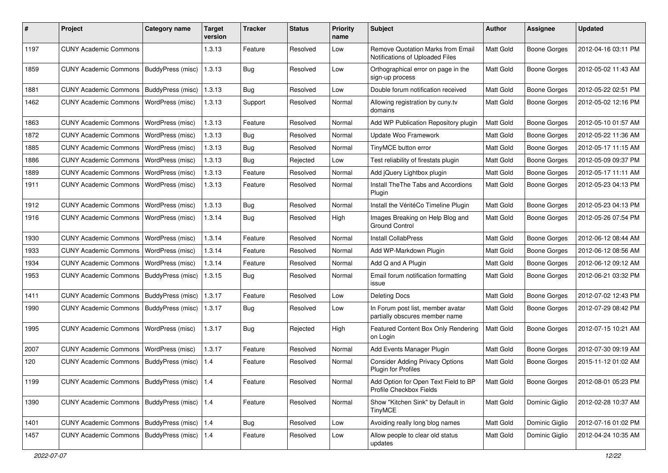| #    | Project                                         | <b>Category name</b>  | <b>Target</b><br>version | Tracker    | <b>Status</b> | <b>Priority</b><br>name | <b>Subject</b>                                                              | <b>Author</b> | <b>Assignee</b>     | <b>Updated</b>      |
|------|-------------------------------------------------|-----------------------|--------------------------|------------|---------------|-------------------------|-----------------------------------------------------------------------------|---------------|---------------------|---------------------|
| 1197 | <b>CUNY Academic Commons</b>                    |                       | 1.3.13                   | Feature    | Resolved      | Low                     | <b>Remove Quotation Marks from Email</b><br>Notifications of Uploaded Files | Matt Gold     | <b>Boone Gorges</b> | 2012-04-16 03:11 PM |
| 1859 | <b>CUNY Academic Commons</b>                    | BuddyPress (misc)     | 1.3.13                   | <b>Bug</b> | Resolved      | Low                     | Orthographical error on page in the<br>sign-up process                      | Matt Gold     | <b>Boone Gorges</b> | 2012-05-02 11:43 AM |
| 1881 | <b>CUNY Academic Commons</b>                    | BuddyPress (misc)     | 1.3.13                   | Bug        | Resolved      | Low                     | Double forum notification received                                          | Matt Gold     | <b>Boone Gorges</b> | 2012-05-22 02:51 PM |
| 1462 | <b>CUNY Academic Commons</b>                    | WordPress (misc)      | 1.3.13                   | Support    | Resolved      | Normal                  | Allowing registration by cuny.tv<br>domains                                 | Matt Gold     | <b>Boone Gorges</b> | 2012-05-02 12:16 PM |
| 1863 | <b>CUNY Academic Commons</b>                    | WordPress (misc)      | 1.3.13                   | Feature    | Resolved      | Normal                  | Add WP Publication Repository plugin                                        | Matt Gold     | <b>Boone Gorges</b> | 2012-05-10 01:57 AM |
| 1872 | <b>CUNY Academic Commons</b>                    | WordPress (misc)      | 1.3.13                   | Bug        | Resolved      | Normal                  | Update Woo Framework                                                        | Matt Gold     | <b>Boone Gorges</b> | 2012-05-22 11:36 AM |
| 1885 | <b>CUNY Academic Commons</b>                    | WordPress (misc)      | 1.3.13                   | <b>Bug</b> | Resolved      | Normal                  | TinyMCE button error                                                        | Matt Gold     | <b>Boone Gorges</b> | 2012-05-17 11:15 AM |
| 1886 | <b>CUNY Academic Commons</b>                    | WordPress (misc)      | 1.3.13                   | <b>Bug</b> | Rejected      | Low                     | Test reliability of firestats plugin                                        | Matt Gold     | <b>Boone Gorges</b> | 2012-05-09 09:37 PM |
| 1889 | <b>CUNY Academic Commons</b>                    | WordPress (misc)      | 1.3.13                   | Feature    | Resolved      | Normal                  | Add jQuery Lightbox plugin                                                  | Matt Gold     | <b>Boone Gorges</b> | 2012-05-17 11:11 AM |
| 1911 | <b>CUNY Academic Commons</b>                    | WordPress (misc)      | 1.3.13                   | Feature    | Resolved      | Normal                  | Install The The Tabs and Accordions<br>Plugin                               | Matt Gold     | <b>Boone Gorges</b> | 2012-05-23 04:13 PM |
| 1912 | <b>CUNY Academic Commons</b>                    | WordPress (misc)      | 1.3.13                   | <b>Bug</b> | Resolved      | Normal                  | Install the VéritéCo Timeline Plugin                                        | Matt Gold     | <b>Boone Gorges</b> | 2012-05-23 04:13 PM |
| 1916 | <b>CUNY Academic Commons</b>                    | WordPress (misc)      | 1.3.14                   | Bug        | Resolved      | High                    | Images Breaking on Help Blog and<br><b>Ground Control</b>                   | Matt Gold     | <b>Boone Gorges</b> | 2012-05-26 07:54 PM |
| 1930 | <b>CUNY Academic Commons</b>                    | WordPress (misc)      | 1.3.14                   | Feature    | Resolved      | Normal                  | Install CollabPress                                                         | Matt Gold     | <b>Boone Gorges</b> | 2012-06-12 08:44 AM |
| 1933 | <b>CUNY Academic Commons</b>                    | WordPress (misc)      | 1.3.14                   | Feature    | Resolved      | Normal                  | Add WP-Markdown Plugin                                                      | Matt Gold     | <b>Boone Gorges</b> | 2012-06-12 08:56 AM |
| 1934 | <b>CUNY Academic Commons</b>                    | WordPress (misc)      | 1.3.14                   | Feature    | Resolved      | Normal                  | Add Q and A Plugin                                                          | Matt Gold     | <b>Boone Gorges</b> | 2012-06-12 09:12 AM |
| 1953 | <b>CUNY Academic Commons</b>                    | BuddyPress (misc)     | 1.3.15                   | <b>Bug</b> | Resolved      | Normal                  | Email forum notification formatting<br>issue                                | Matt Gold     | <b>Boone Gorges</b> | 2012-06-21 03:32 PM |
| 1411 | <b>CUNY Academic Commons</b>                    | BuddyPress (misc)     | 1.3.17                   | Feature    | Resolved      | Low                     | <b>Deleting Docs</b>                                                        | Matt Gold     | <b>Boone Gorges</b> | 2012-07-02 12:43 PM |
| 1990 | <b>CUNY Academic Commons</b>                    | BuddyPress (misc)     | 1.3.17                   | <b>Bug</b> | Resolved      | Low                     | In Forum post list, member avatar<br>partially obscures member name         | Matt Gold     | <b>Boone Gorges</b> | 2012-07-29 08:42 PM |
| 1995 | <b>CUNY Academic Commons</b>                    | WordPress (misc)      | 1.3.17                   | <b>Bug</b> | Rejected      | High                    | Featured Content Box Only Rendering<br>on Login                             | Matt Gold     | <b>Boone Gorges</b> | 2012-07-15 10:21 AM |
| 2007 | <b>CUNY Academic Commons</b>                    | WordPress (misc)      | 1.3.17                   | Feature    | Resolved      | Normal                  | Add Events Manager Plugin                                                   | Matt Gold     | <b>Boone Gorges</b> | 2012-07-30 09:19 AM |
| 120  | <b>CUNY Academic Commons</b>                    | BuddyPress (misc)     | 1.4                      | Feature    | Resolved      | Normal                  | <b>Consider Adding Privacy Options</b><br>Plugin for Profiles               | Matt Gold     | <b>Boone Gorges</b> | 2015-11-12 01:02 AM |
| 1199 | CUNY Academic Commons   BuddyPress (misc)   1.4 |                       |                          | Feature    | Resolved      | Normal                  | Add Option for Open Text Field to BP<br>Profile Checkbox Fields             | Matt Gold     | <b>Boone Gorges</b> | 2012-08-01 05:23 PM |
| 1390 | CUNY Academic Commons   BuddyPress (misc)   1.4 |                       |                          | Feature    | Resolved      | Normal                  | Show "Kitchen Sink" by Default in<br><b>TinyMCE</b>                         | Matt Gold     | Dominic Giglio      | 2012-02-28 10:37 AM |
| 1401 | <b>CUNY Academic Commons</b>                    | BuddyPress (misc) 1.4 |                          | Bug        | Resolved      | Low                     | Avoiding really long blog names                                             | Matt Gold     | Dominic Giglio      | 2012-07-16 01:02 PM |
| 1457 | <b>CUNY Academic Commons</b>                    | BuddyPress (misc) 1.4 |                          | Feature    | Resolved      | Low                     | Allow people to clear old status<br>updates                                 | Matt Gold     | Dominic Giglio      | 2012-04-24 10:35 AM |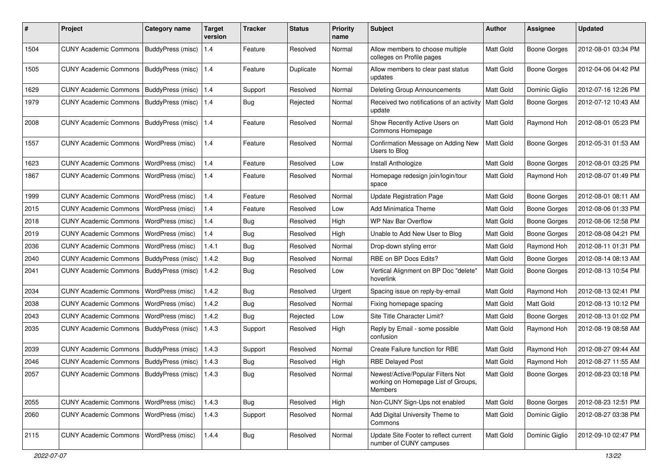| #    | Project                                           | Category name     | <b>Target</b><br>version | <b>Tracker</b> | <b>Status</b> | <b>Priority</b><br>name | Subject                                                                                    | <b>Author</b>    | <b>Assignee</b>     | <b>Updated</b>      |
|------|---------------------------------------------------|-------------------|--------------------------|----------------|---------------|-------------------------|--------------------------------------------------------------------------------------------|------------------|---------------------|---------------------|
| 1504 | <b>CUNY Academic Commons</b>                      | BuddyPress (misc) | 1.4                      | Feature        | Resolved      | Normal                  | Allow members to choose multiple<br>colleges on Profile pages                              | Matt Gold        | <b>Boone Gorges</b> | 2012-08-01 03:34 PM |
| 1505 | <b>CUNY Academic Commons</b>                      | BuddyPress (misc) | 1.4                      | Feature        | Duplicate     | Normal                  | Allow members to clear past status<br>updates                                              | Matt Gold        | <b>Boone Gorges</b> | 2012-04-06 04:42 PM |
| 1629 | <b>CUNY Academic Commons</b>                      | BuddyPress (misc) | 1.4                      | Support        | Resolved      | Normal                  | <b>Deleting Group Announcements</b>                                                        | Matt Gold        | Dominic Giglio      | 2012-07-16 12:26 PM |
| 1979 | <b>CUNY Academic Commons</b>                      | BuddyPress (misc) | 1.4                      | Bug            | Rejected      | Normal                  | Received two notifications of an activity<br>update                                        | <b>Matt Gold</b> | <b>Boone Gorges</b> | 2012-07-12 10:43 AM |
| 2008 | <b>CUNY Academic Commons</b>                      | BuddyPress (misc) | $1.4$                    | Feature        | Resolved      | Normal                  | Show Recently Active Users on<br>Commons Homepage                                          | Matt Gold        | Raymond Hoh         | 2012-08-01 05:23 PM |
| 1557 | <b>CUNY Academic Commons</b>                      | WordPress (misc)  | 1.4                      | Feature        | Resolved      | Normal                  | Confirmation Message on Adding New<br>Users to Blog                                        | Matt Gold        | <b>Boone Gorges</b> | 2012-05-31 01:53 AM |
| 1623 | <b>CUNY Academic Commons</b>                      | WordPress (misc)  | 1.4                      | Feature        | Resolved      | Low                     | Install Anthologize                                                                        | Matt Gold        | <b>Boone Gorges</b> | 2012-08-01 03:25 PM |
| 1867 | <b>CUNY Academic Commons</b>                      | WordPress (misc)  | 1.4                      | Feature        | Resolved      | Normal                  | Homepage redesign join/login/tour<br>space                                                 | Matt Gold        | Raymond Hoh         | 2012-08-07 01:49 PM |
| 1999 | <b>CUNY Academic Commons</b>                      | WordPress (misc)  | 1.4                      | Feature        | Resolved      | Normal                  | <b>Update Registration Page</b>                                                            | Matt Gold        | <b>Boone Gorges</b> | 2012-08-01 08:11 AM |
| 2015 | <b>CUNY Academic Commons</b>                      | WordPress (misc)  | 1.4                      | Feature        | Resolved      | Low                     | Add Minimatica Theme                                                                       | Matt Gold        | <b>Boone Gorges</b> | 2012-08-06 01:33 PM |
| 2018 | <b>CUNY Academic Commons</b>                      | WordPress (misc)  | 1.4                      | Bug            | Resolved      | High                    | WP Nav Bar Overflow                                                                        | Matt Gold        | Boone Gorges        | 2012-08-06 12:58 PM |
| 2019 | <b>CUNY Academic Commons</b>                      | WordPress (misc)  | 1.4                      | Bug            | Resolved      | High                    | Unable to Add New User to Blog                                                             | Matt Gold        | <b>Boone Gorges</b> | 2012-08-08 04:21 PM |
| 2036 | <b>CUNY Academic Commons</b>                      | WordPress (misc)  | 1.4.1                    | <b>Bug</b>     | Resolved      | Normal                  | Drop-down styling error                                                                    | Matt Gold        | Raymond Hoh         | 2012-08-11 01:31 PM |
| 2040 | <b>CUNY Academic Commons</b>                      | BuddyPress (misc) | 1.4.2                    | <b>Bug</b>     | Resolved      | Normal                  | RBE on BP Docs Edits?                                                                      | Matt Gold        | <b>Boone Gorges</b> | 2012-08-14 08:13 AM |
| 2041 | <b>CUNY Academic Commons</b>                      | BuddyPress (misc) | 1.4.2                    | Bug            | Resolved      | Low                     | Vertical Alignment on BP Doc "delete"<br>hoverlink                                         | Matt Gold        | <b>Boone Gorges</b> | 2012-08-13 10:54 PM |
| 2034 | <b>CUNY Academic Commons</b>                      | WordPress (misc)  | 1.4.2                    | Bug            | Resolved      | Urgent                  | Spacing issue on reply-by-email                                                            | Matt Gold        | Raymond Hoh         | 2012-08-13 02:41 PM |
| 2038 | <b>CUNY Academic Commons</b>                      | WordPress (misc)  | 1.4.2                    | <b>Bug</b>     | Resolved      | Normal                  | Fixing homepage spacing                                                                    | Matt Gold        | Matt Gold           | 2012-08-13 10:12 PM |
| 2043 | <b>CUNY Academic Commons</b>                      | WordPress (misc)  | 1.4.2                    | Bug            | Rejected      | Low                     | Site Title Character Limit?                                                                | Matt Gold        | Boone Gorges        | 2012-08-13 01:02 PM |
| 2035 | <b>CUNY Academic Commons</b>                      | BuddyPress (misc) | 1.4.3                    | Support        | Resolved      | High                    | Reply by Email - some possible<br>confusion                                                | Matt Gold        | Raymond Hoh         | 2012-08-19 08:58 AM |
| 2039 | <b>CUNY Academic Commons</b>                      | BuddyPress (misc) | 1.4.3                    | Support        | Resolved      | Normal                  | Create Failure function for RBE                                                            | Matt Gold        | Raymond Hoh         | 2012-08-27 09:44 AM |
| 2046 | <b>CUNY Academic Commons</b>                      | BuddyPress (misc) | 1.4.3                    | <b>Bug</b>     | Resolved      | High                    | <b>RBE Delayed Post</b>                                                                    | Matt Gold        | Raymond Hoh         | 2012-08-27 11:55 AM |
| 2057 | CUNY Academic Commons   BuddyPress (misc)   1.4.3 |                   |                          | <b>Bug</b>     | Resolved      | Normal                  | Newest/Active/Popular Filters Not<br>working on Homepage List of Groups,<br><b>Members</b> | Matt Gold        | <b>Boone Gorges</b> | 2012-08-23 03:18 PM |
| 2055 | <b>CUNY Academic Commons</b>                      | WordPress (misc)  | 1.4.3                    | <b>Bug</b>     | Resolved      | High                    | Non-CUNY Sign-Ups not enabled                                                              | Matt Gold        | <b>Boone Gorges</b> | 2012-08-23 12:51 PM |
| 2060 | <b>CUNY Academic Commons</b>                      | WordPress (misc)  | 1.4.3                    | Support        | Resolved      | Normal                  | Add Digital University Theme to<br>Commons                                                 | Matt Gold        | Dominic Giglio      | 2012-08-27 03:38 PM |
| 2115 | <b>CUNY Academic Commons</b>                      | WordPress (misc)  | 1.4.4                    | Bug            | Resolved      | Normal                  | Update Site Footer to reflect current<br>number of CUNY campuses                           | Matt Gold        | Dominic Giglio      | 2012-09-10 02:47 PM |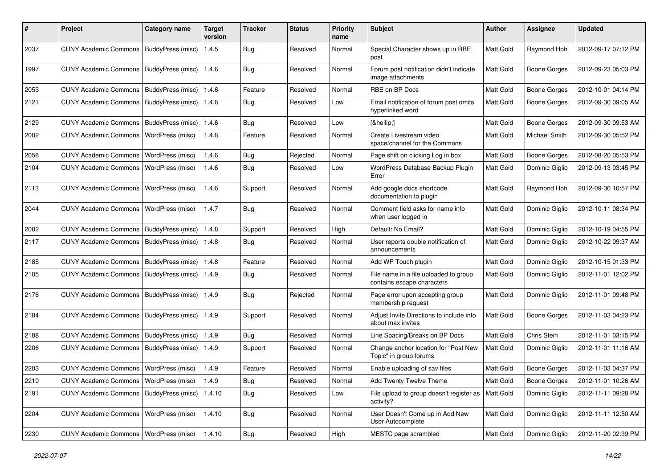| #    | Project                                   | <b>Category name</b>     | <b>Target</b><br>version | <b>Tracker</b> | <b>Status</b> | <b>Priority</b><br>name | <b>Subject</b>                                                      | <b>Author</b> | Assignee            | <b>Updated</b>      |
|------|-------------------------------------------|--------------------------|--------------------------|----------------|---------------|-------------------------|---------------------------------------------------------------------|---------------|---------------------|---------------------|
| 2037 | <b>CUNY Academic Commons</b>              | BuddyPress (misc)        | 1.4.5                    | <b>Bug</b>     | Resolved      | Normal                  | Special Character shows up in RBE<br>post                           | Matt Gold     | Raymond Hoh         | 2012-09-17 07:12 PM |
| 1997 | <b>CUNY Academic Commons</b>              | <b>BuddyPress (misc)</b> | 1.4.6                    | Bug            | Resolved      | Normal                  | Forum post notification didn't indicate<br>image attachments        | Matt Gold     | <b>Boone Gorges</b> | 2012-09-23 05:03 PM |
| 2053 | <b>CUNY Academic Commons</b>              | BuddyPress (misc)        | 1.4.6                    | Feature        | Resolved      | Normal                  | RBE on BP Docs                                                      | Matt Gold     | <b>Boone Gorges</b> | 2012-10-01 04:14 PM |
| 2121 | <b>CUNY Academic Commons</b>              | BuddyPress (misc)        | 1.4.6                    | Bug            | Resolved      | Low                     | Email notification of forum post omits<br>hyperlinked word          | Matt Gold     | <b>Boone Gorges</b> | 2012-09-30 09:05 AM |
| 2129 | <b>CUNY Academic Commons</b>              | BuddyPress (misc)        | 1.4.6                    | Bug            | Resolved      | Low                     | […]                                                                 | Matt Gold     | Boone Gorges        | 2012-09-30 09:53 AM |
| 2002 | <b>CUNY Academic Commons</b>              | WordPress (misc)         | 1.4.6                    | Feature        | Resolved      | Normal                  | Create Livestream video<br>space/channel for the Commons            | Matt Gold     | Michael Smith       | 2012-09-30 05:52 PM |
| 2058 | <b>CUNY Academic Commons</b>              | WordPress (misc)         | 1.4.6                    | Bug            | Rejected      | Normal                  | Page shift on clicking Log in box                                   | Matt Gold     | <b>Boone Gorges</b> | 2012-08-20 05:53 PM |
| 2104 | <b>CUNY Academic Commons</b>              | WordPress (misc)         | 1.4.6                    | Bug            | Resolved      | Low                     | WordPress Database Backup Plugin<br>Error                           | Matt Gold     | Dominic Giglio      | 2012-09-13 03:45 PM |
| 2113 | <b>CUNY Academic Commons</b>              | WordPress (misc)         | 1.4.6                    | Support        | Resolved      | Normal                  | Add google docs shortcode<br>documentation to plugin                | Matt Gold     | Raymond Hoh         | 2012-09-30 10:57 PM |
| 2044 | <b>CUNY Academic Commons</b>              | WordPress (misc)         | 1.4.7                    | <b>Bug</b>     | Resolved      | Normal                  | Comment field asks for name info<br>when user logged in             | Matt Gold     | Dominic Giglio      | 2012-10-11 08:34 PM |
| 2082 | <b>CUNY Academic Commons</b>              | BuddyPress (misc)        | 1.4.8                    | Support        | Resolved      | High                    | Default: No Email?                                                  | Matt Gold     | Dominic Giglio      | 2012-10-19 04:55 PM |
| 2117 | <b>CUNY Academic Commons</b>              | BuddyPress (misc)        | 1.4.8                    | Bug            | Resolved      | Normal                  | User reports double notification of<br>announcements                | Matt Gold     | Dominic Giglio      | 2012-10-22 09:37 AM |
| 2185 | <b>CUNY Academic Commons</b>              | BuddyPress (misc)        | 1.4.8                    | Feature        | Resolved      | Normal                  | Add WP Touch plugin                                                 | Matt Gold     | Dominic Giglio      | 2012-10-15 01:33 PM |
| 2105 | <b>CUNY Academic Commons</b>              | BuddyPress (misc)        | 1.4.9                    | Bug            | Resolved      | Normal                  | File name in a file uploaded to group<br>contains escape characters | Matt Gold     | Dominic Giglio      | 2012-11-01 12:02 PM |
| 2176 | <b>CUNY Academic Commons</b>              | BuddyPress (misc)        | 1.4.9                    | <b>Bug</b>     | Rejected      | Normal                  | Page error upon accepting group<br>membership request               | Matt Gold     | Dominic Giglio      | 2012-11-01 09:48 PM |
| 2184 | <b>CUNY Academic Commons</b>              | BuddyPress (misc)        | 1.4.9                    | Support        | Resolved      | Normal                  | Adjust Invite Directions to include info<br>about max invites       | Matt Gold     | <b>Boone Gorges</b> | 2012-11-03 04:23 PM |
| 2188 | <b>CUNY Academic Commons</b>              | BuddyPress (misc)        | 1.4.9                    | Bug            | Resolved      | Normal                  | Line Spacing/Breaks on BP Docs                                      | Matt Gold     | Chris Stein         | 2012-11-01 03:15 PM |
| 2206 | <b>CUNY Academic Commons</b>              | BuddyPress (misc)        | 1.4.9                    | Support        | Resolved      | Normal                  | Change anchor location for "Post New<br>Topic" in group forums      | Matt Gold     | Dominic Giglio      | 2012-11-01 11:16 AM |
| 2203 | <b>CUNY Academic Commons</b>              | WordPress (misc)         | 1.4.9                    | Feature        | Resolved      | Normal                  | Enable uploading of sav files                                       | Matt Gold     | <b>Boone Gorges</b> | 2012-11-03 04:37 PM |
| 2210 | CUNY Academic Commons   WordPress (misc)  |                          | 1.4.9                    | <b>Bug</b>     | Resolved      | Normal                  | Add Twenty Twelve Theme                                             | Matt Gold     | <b>Boone Gorges</b> | 2012-11-01 10:26 AM |
| 2191 | CUNY Academic Commons   BuddyPress (misc) |                          | 1.4.10                   | <b>Bug</b>     | Resolved      | Low                     | File upload to group doesn't register as<br>activity?               | Matt Gold     | Dominic Giglio      | 2012-11-11 09:28 PM |
| 2204 | <b>CUNY Academic Commons</b>              | WordPress (misc)         | 1.4.10                   | <b>Bug</b>     | Resolved      | Normal                  | User Doesn't Come up in Add New<br>User Autocomplete                | Matt Gold     | Dominic Giglio      | 2012-11-11 12:50 AM |
| 2230 | CUNY Academic Commons   WordPress (misc)  |                          | 1.4.10                   | <b>Bug</b>     | Resolved      | High                    | MESTC page scrambled                                                | Matt Gold     | Dominic Giglio      | 2012-11-20 02:39 PM |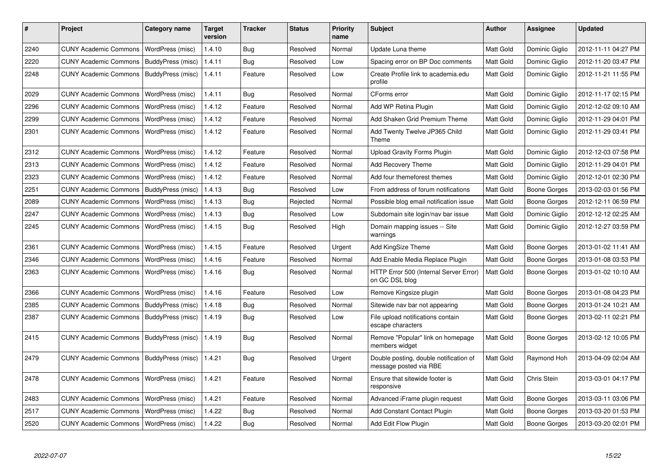| #    | <b>Project</b>               | Category name     | Target<br>version | <b>Tracker</b> | <b>Status</b> | <b>Priority</b><br>name | <b>Subject</b>                                                   | <b>Author</b>    | Assignee            | <b>Updated</b>      |
|------|------------------------------|-------------------|-------------------|----------------|---------------|-------------------------|------------------------------------------------------------------|------------------|---------------------|---------------------|
| 2240 | <b>CUNY Academic Commons</b> | WordPress (misc)  | 1.4.10            | Bug            | Resolved      | Normal                  | Update Luna theme                                                | Matt Gold        | Dominic Giglio      | 2012-11-11 04:27 PM |
| 2220 | <b>CUNY Academic Commons</b> | BuddyPress (misc) | 1.4.11            | <b>Bug</b>     | Resolved      | Low                     | Spacing error on BP Doc comments                                 | Matt Gold        | Dominic Giglio      | 2012-11-20 03:47 PM |
| 2248 | <b>CUNY Academic Commons</b> | BuddyPress (misc) | 1.4.11            | Feature        | Resolved      | Low                     | Create Profile link to academia.edu<br>profile                   | Matt Gold        | Dominic Giglio      | 2012-11-21 11:55 PM |
| 2029 | <b>CUNY Academic Commons</b> | WordPress (misc)  | 1.4.11            | Bug            | Resolved      | Normal                  | CForms error                                                     | Matt Gold        | Dominic Giglio      | 2012-11-17 02:15 PM |
| 2296 | <b>CUNY Academic Commons</b> | WordPress (misc)  | 1.4.12            | Feature        | Resolved      | Normal                  | Add WP Retina Plugin                                             | <b>Matt Gold</b> | Dominic Giglio      | 2012-12-02 09:10 AM |
| 2299 | <b>CUNY Academic Commons</b> | WordPress (misc)  | 1.4.12            | Feature        | Resolved      | Normal                  | Add Shaken Grid Premium Theme                                    | Matt Gold        | Dominic Giglio      | 2012-11-29 04:01 PM |
| 2301 | <b>CUNY Academic Commons</b> | WordPress (misc)  | 1.4.12            | Feature        | Resolved      | Normal                  | Add Twenty Twelve JP365 Child<br>Theme                           | Matt Gold        | Dominic Giglio      | 2012-11-29 03:41 PM |
| 2312 | <b>CUNY Academic Commons</b> | WordPress (misc)  | 1.4.12            | Feature        | Resolved      | Normal                  | <b>Upload Gravity Forms Plugin</b>                               | <b>Matt Gold</b> | Dominic Giglio      | 2012-12-03 07:58 PM |
| 2313 | <b>CUNY Academic Commons</b> | WordPress (misc)  | 1.4.12            | Feature        | Resolved      | Normal                  | Add Recovery Theme                                               | <b>Matt Gold</b> | Dominic Giglio      | 2012-11-29 04:01 PM |
| 2323 | <b>CUNY Academic Commons</b> | WordPress (misc)  | 1.4.12            | Feature        | Resolved      | Normal                  | Add four themeforest themes                                      | Matt Gold        | Dominic Giglio      | 2012-12-01 02:30 PM |
| 2251 | <b>CUNY Academic Commons</b> | BuddyPress (misc) | 1.4.13            | <b>Bug</b>     | Resolved      | Low                     | From address of forum notifications                              | <b>Matt Gold</b> | Boone Gorges        | 2013-02-03 01:56 PM |
| 2089 | <b>CUNY Academic Commons</b> | WordPress (misc)  | 1.4.13            | Bug            | Rejected      | Normal                  | Possible blog email notification issue                           | Matt Gold        | Boone Gorges        | 2012-12-11 06:59 PM |
| 2247 | <b>CUNY Academic Commons</b> | WordPress (misc)  | 1.4.13            | Bug            | Resolved      | Low                     | Subdomain site login/nav bar issue                               | Matt Gold        | Dominic Giglio      | 2012-12-12 02:25 AM |
| 2245 | <b>CUNY Academic Commons</b> | WordPress (misc)  | 1.4.15            | Bug            | Resolved      | High                    | Domain mapping issues -- Site<br>warnings                        | Matt Gold        | Dominic Giglio      | 2012-12-27 03:59 PM |
| 2361 | <b>CUNY Academic Commons</b> | WordPress (misc)  | 1.4.15            | Feature        | Resolved      | Urgent                  | Add KingSize Theme                                               | Matt Gold        | Boone Gorges        | 2013-01-02 11:41 AM |
| 2346 | <b>CUNY Academic Commons</b> | WordPress (misc)  | 1.4.16            | Feature        | Resolved      | Normal                  | Add Enable Media Replace Plugin                                  | <b>Matt Gold</b> | Boone Gorges        | 2013-01-08 03:53 PM |
| 2363 | <b>CUNY Academic Commons</b> | WordPress (misc)  | 1.4.16            | Bug            | Resolved      | Normal                  | HTTP Error 500 (Internal Server Error)<br>on GC DSL blog         | <b>Matt Gold</b> | <b>Boone Gorges</b> | 2013-01-02 10:10 AM |
| 2366 | <b>CUNY Academic Commons</b> | WordPress (misc)  | 1.4.16            | Feature        | Resolved      | Low                     | Remove Kingsize plugin                                           | <b>Matt Gold</b> | <b>Boone Gorges</b> | 2013-01-08 04:23 PM |
| 2385 | <b>CUNY Academic Commons</b> | BuddyPress (misc) | 1.4.18            | <b>Bug</b>     | Resolved      | Normal                  | Sitewide nav bar not appearing                                   | Matt Gold        | Boone Gorges        | 2013-01-24 10:21 AM |
| 2387 | <b>CUNY Academic Commons</b> | BuddyPress (misc) | 1.4.19            | Bug            | Resolved      | Low                     | File upload notifications contain<br>escape characters           | <b>Matt Gold</b> | Boone Gorges        | 2013-02-11 02:21 PM |
| 2415 | <b>CUNY Academic Commons</b> | BuddyPress (misc) | 1.4.19            | Bug            | Resolved      | Normal                  | Remove "Popular" link on homepage<br>members widget              | Matt Gold        | Boone Gorges        | 2013-02-12 10:05 PM |
| 2479 | <b>CUNY Academic Commons</b> | BuddyPress (misc) | 1.4.21            | Bug            | Resolved      | Urgent                  | Double posting, double notification of<br>message posted via RBE | Matt Gold        | Raymond Hoh         | 2013-04-09 02:04 AM |
| 2478 | <b>CUNY Academic Commons</b> | WordPress (misc)  | 1.4.21            | Feature        | Resolved      | Normal                  | Ensure that sitewide footer is<br>responsive                     | <b>Matt Gold</b> | Chris Stein         | 2013-03-01 04:17 PM |
| 2483 | <b>CUNY Academic Commons</b> | WordPress (misc)  | 1.4.21            | Feature        | Resolved      | Normal                  | Advanced iFrame plugin request                                   | Matt Gold        | Boone Gorges        | 2013-03-11 03:06 PM |
| 2517 | <b>CUNY Academic Commons</b> | WordPress (misc)  | 1.4.22            | Bug            | Resolved      | Normal                  | Add Constant Contact Plugin                                      | <b>Matt Gold</b> | Boone Gorges        | 2013-03-20 01:53 PM |
| 2520 | <b>CUNY Academic Commons</b> | WordPress (misc)  | 1.4.22            | Bug            | Resolved      | Normal                  | Add Edit Flow Plugin                                             | Matt Gold        | Boone Gorges        | 2013-03-20 02:01 PM |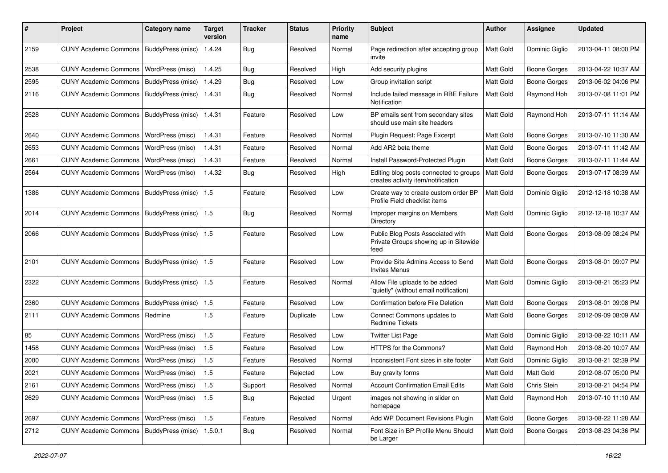| #    | Project                                   | <b>Category name</b> | Target<br>version | <b>Tracker</b> | <b>Status</b> | <b>Priority</b><br>name | Subject                                                                            | <b>Author</b> | Assignee            | <b>Updated</b>      |
|------|-------------------------------------------|----------------------|-------------------|----------------|---------------|-------------------------|------------------------------------------------------------------------------------|---------------|---------------------|---------------------|
| 2159 | <b>CUNY Academic Commons</b>              | BuddyPress (misc)    | 1.4.24            | <b>Bug</b>     | Resolved      | Normal                  | Page redirection after accepting group<br>invite                                   | Matt Gold     | Dominic Giglio      | 2013-04-11 08:00 PM |
| 2538 | <b>CUNY Academic Commons</b>              | WordPress (misc)     | 1.4.25            | Bug            | Resolved      | High                    | Add security plugins                                                               | Matt Gold     | <b>Boone Gorges</b> | 2013-04-22 10:37 AM |
| 2595 | <b>CUNY Academic Commons</b>              | BuddyPress (misc)    | 1.4.29            | <b>Bug</b>     | Resolved      | Low                     | Group invitation script                                                            | Matt Gold     | <b>Boone Gorges</b> | 2013-06-02 04:06 PM |
| 2116 | <b>CUNY Academic Commons</b>              | BuddyPress (misc)    | 1.4.31            | <b>Bug</b>     | Resolved      | Normal                  | Include failed message in RBE Failure<br>Notification                              | Matt Gold     | Raymond Hoh         | 2013-07-08 11:01 PM |
| 2528 | <b>CUNY Academic Commons</b>              | BuddyPress (misc)    | 1.4.31            | Feature        | Resolved      | Low                     | BP emails sent from secondary sites<br>should use main site headers                | Matt Gold     | Raymond Hoh         | 2013-07-11 11:14 AM |
| 2640 | <b>CUNY Academic Commons</b>              | WordPress (misc)     | 1.4.31            | Feature        | Resolved      | Normal                  | Plugin Request: Page Excerpt                                                       | Matt Gold     | <b>Boone Gorges</b> | 2013-07-10 11:30 AM |
| 2653 | <b>CUNY Academic Commons</b>              | WordPress (misc)     | 1.4.31            | Feature        | Resolved      | Normal                  | Add AR2 beta theme                                                                 | Matt Gold     | <b>Boone Gorges</b> | 2013-07-11 11:42 AM |
| 2661 | <b>CUNY Academic Commons</b>              | WordPress (misc)     | 1.4.31            | Feature        | Resolved      | Normal                  | Install Password-Protected Plugin                                                  | Matt Gold     | <b>Boone Gorges</b> | 2013-07-11 11:44 AM |
| 2564 | <b>CUNY Academic Commons</b>              | WordPress (misc)     | 1.4.32            | Bug            | Resolved      | High                    | Editing blog posts connected to groups<br>creates activity item/notification       | Matt Gold     | <b>Boone Gorges</b> | 2013-07-17 08:39 AM |
| 1386 | <b>CUNY Academic Commons</b>              | BuddyPress (misc)    | 1.5               | Feature        | Resolved      | Low                     | Create way to create custom order BP<br>Profile Field checklist items              | Matt Gold     | Dominic Giglio      | 2012-12-18 10:38 AM |
| 2014 | <b>CUNY Academic Commons</b>              | BuddyPress (misc)    | 1.5               | Bug            | Resolved      | Normal                  | Improper margins on Members<br>Directory                                           | Matt Gold     | Dominic Giglio      | 2012-12-18 10:37 AM |
| 2066 | <b>CUNY Academic Commons</b>              | BuddyPress (misc)    | 1.5               | Feature        | Resolved      | Low                     | Public Blog Posts Associated with<br>Private Groups showing up in Sitewide<br>feed | Matt Gold     | <b>Boone Gorges</b> | 2013-08-09 08:24 PM |
| 2101 | <b>CUNY Academic Commons</b>              | BuddyPress (misc)    | 1.5               | Feature        | Resolved      | Low                     | Provide Site Admins Access to Send<br><b>Invites Menus</b>                         | Matt Gold     | <b>Boone Gorges</b> | 2013-08-01 09:07 PM |
| 2322 | <b>CUNY Academic Commons</b>              | BuddyPress (misc)    | $\vert$ 1.5       | Feature        | Resolved      | Normal                  | Allow File uploads to be added<br>"quietly" (without email notification)           | Matt Gold     | Dominic Giglio      | 2013-08-21 05:23 PM |
| 2360 | <b>CUNY Academic Commons</b>              | BuddyPress (misc)    | 1.5               | Feature        | Resolved      | Low                     | Confirmation before File Deletion                                                  | Matt Gold     | <b>Boone Gorges</b> | 2013-08-01 09:08 PM |
| 2111 | <b>CUNY Academic Commons</b>              | Redmine              | 1.5               | Feature        | Duplicate     | Low                     | Connect Commons updates to<br><b>Redmine Tickets</b>                               | Matt Gold     | Boone Gorges        | 2012-09-09 08:09 AM |
| 85   | <b>CUNY Academic Commons</b>              | WordPress (misc)     | 1.5               | Feature        | Resolved      | Low                     | <b>Twitter List Page</b>                                                           | Matt Gold     | Dominic Giglio      | 2013-08-22 10:11 AM |
| 1458 | <b>CUNY Academic Commons</b>              | WordPress (misc)     | $1.5\,$           | Feature        | Resolved      | Low                     | HTTPS for the Commons?                                                             | Matt Gold     | Raymond Hoh         | 2013-08-20 10:07 AM |
| 2000 | <b>CUNY Academic Commons</b>              | WordPress (misc)     | 1.5               | Feature        | Resolved      | Normal                  | Inconsistent Font sizes in site footer                                             | Matt Gold     | Dominic Giglio      | 2013-08-21 02:39 PM |
| 2021 | CUNY Academic Commons   WordPress (misc)  |                      | 1.5               | Feature        | Rejected      | Low                     | Buy gravity forms                                                                  | Matt Gold     | Matt Gold           | 2012-08-07 05:00 PM |
| 2161 | <b>CUNY Academic Commons</b>              | WordPress (misc)     | 1.5               | Support        | Resolved      | Normal                  | <b>Account Confirmation Email Edits</b>                                            | Matt Gold     | Chris Stein         | 2013-08-21 04:54 PM |
| 2629 | <b>CUNY Academic Commons</b>              | WordPress (misc)     | $1.5\,$           | Bug            | Rejected      | Urgent                  | images not showing in slider on<br>homepage                                        | Matt Gold     | Raymond Hoh         | 2013-07-10 11:10 AM |
| 2697 | <b>CUNY Academic Commons</b>              | WordPress (misc)     | 1.5               | Feature        | Resolved      | Normal                  | Add WP Document Revisions Plugin                                                   | Matt Gold     | Boone Gorges        | 2013-08-22 11:28 AM |
| 2712 | CUNY Academic Commons   BuddyPress (misc) |                      | 1.5.0.1           | <b>Bug</b>     | Resolved      | Normal                  | Font Size in BP Profile Menu Should<br>be Larger                                   | Matt Gold     | Boone Gorges        | 2013-08-23 04:36 PM |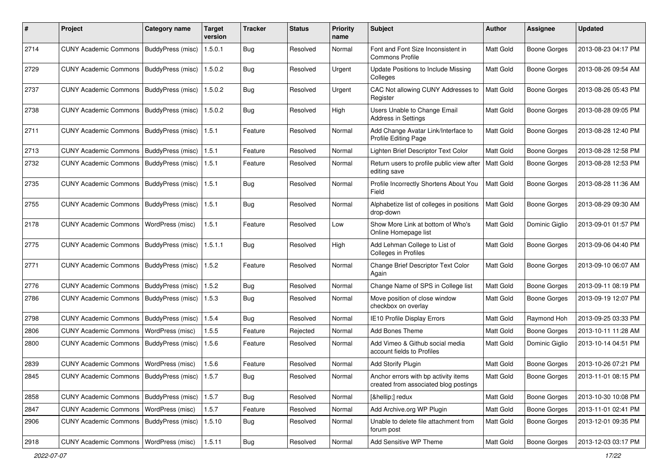| #    | Project                                           | <b>Category name</b> | <b>Target</b><br>version | <b>Tracker</b> | <b>Status</b> | <b>Priority</b><br>name | <b>Subject</b>                                                                | Author    | <b>Assignee</b>     | <b>Updated</b>      |
|------|---------------------------------------------------|----------------------|--------------------------|----------------|---------------|-------------------------|-------------------------------------------------------------------------------|-----------|---------------------|---------------------|
| 2714 | <b>CUNY Academic Commons</b>                      | BuddyPress (misc)    | 1.5.0.1                  | <b>Bug</b>     | Resolved      | Normal                  | Font and Font Size Inconsistent in<br><b>Commons Profile</b>                  | Matt Gold | <b>Boone Gorges</b> | 2013-08-23 04:17 PM |
| 2729 | <b>CUNY Academic Commons</b>                      | BuddyPress (misc)    | 1.5.0.2                  | Bug            | Resolved      | Urgent                  | Update Positions to Include Missing<br>Colleges                               | Matt Gold | <b>Boone Gorges</b> | 2013-08-26 09:54 AM |
| 2737 | <b>CUNY Academic Commons</b>                      | BuddyPress (misc)    | 1.5.0.2                  | <b>Bug</b>     | Resolved      | Urgent                  | CAC Not allowing CUNY Addresses to<br>Register                                | Matt Gold | <b>Boone Gorges</b> | 2013-08-26 05:43 PM |
| 2738 | <b>CUNY Academic Commons</b>                      | BuddyPress (misc)    | 1.5.0.2                  | Bug            | Resolved      | High                    | Users Unable to Change Email<br>Address in Settings                           | Matt Gold | <b>Boone Gorges</b> | 2013-08-28 09:05 PM |
| 2711 | <b>CUNY Academic Commons</b>                      | BuddyPress (misc)    | 1.5.1                    | Feature        | Resolved      | Normal                  | Add Change Avatar Link/Interface to<br>Profile Editing Page                   | Matt Gold | <b>Boone Gorges</b> | 2013-08-28 12:40 PM |
| 2713 | <b>CUNY Academic Commons</b>                      | BuddyPress (misc)    | 1.5.1                    | Feature        | Resolved      | Normal                  | Lighten Brief Descriptor Text Color                                           | Matt Gold | <b>Boone Gorges</b> | 2013-08-28 12:58 PM |
| 2732 | <b>CUNY Academic Commons</b>                      | BuddyPress (misc)    | 1.5.1                    | Feature        | Resolved      | Normal                  | Return users to profile public view after<br>editing save                     | Matt Gold | Boone Gorges        | 2013-08-28 12:53 PM |
| 2735 | <b>CUNY Academic Commons</b>                      | BuddyPress (misc)    | 1.5.1                    | Bug            | Resolved      | Normal                  | Profile Incorrectly Shortens About You<br>Field                               | Matt Gold | <b>Boone Gorges</b> | 2013-08-28 11:36 AM |
| 2755 | <b>CUNY Academic Commons</b>                      | BuddyPress (misc)    | 1.5.1                    | Bug            | Resolved      | Normal                  | Alphabetize list of colleges in positions<br>drop-down                        | Matt Gold | <b>Boone Gorges</b> | 2013-08-29 09:30 AM |
| 2178 | <b>CUNY Academic Commons</b>                      | WordPress (misc)     | 1.5.1                    | Feature        | Resolved      | Low                     | Show More Link at bottom of Who's<br>Online Homepage list                     | Matt Gold | Dominic Giglio      | 2013-09-01 01:57 PM |
| 2775 | <b>CUNY Academic Commons</b>                      | BuddyPress (misc)    | 1.5.1.1                  | Bug            | Resolved      | High                    | Add Lehman College to List of<br><b>Colleges in Profiles</b>                  | Matt Gold | <b>Boone Gorges</b> | 2013-09-06 04:40 PM |
| 2771 | <b>CUNY Academic Commons</b>                      | BuddyPress (misc)    | 1.5.2                    | Feature        | Resolved      | Normal                  | Change Brief Descriptor Text Color<br>Again                                   | Matt Gold | <b>Boone Gorges</b> | 2013-09-10 06:07 AM |
| 2776 | <b>CUNY Academic Commons</b>                      | BuddyPress (misc)    | 1.5.2                    | Bug            | Resolved      | Normal                  | Change Name of SPS in College list                                            | Matt Gold | <b>Boone Gorges</b> | 2013-09-11 08:19 PM |
| 2786 | <b>CUNY Academic Commons</b>                      | BuddyPress (misc)    | 1.5.3                    | Bug            | Resolved      | Normal                  | Move position of close window<br>checkbox on overlay                          | Matt Gold | <b>Boone Gorges</b> | 2013-09-19 12:07 PM |
| 2798 | <b>CUNY Academic Commons</b>                      | BuddyPress (misc)    | 1.5.4                    | <b>Bug</b>     | Resolved      | Normal                  | IE10 Profile Display Errors                                                   | Matt Gold | Raymond Hoh         | 2013-09-25 03:33 PM |
| 2806 | <b>CUNY Academic Commons</b>                      | WordPress (misc)     | 1.5.5                    | Feature        | Rejected      | Normal                  | Add Bones Theme                                                               | Matt Gold | <b>Boone Gorges</b> | 2013-10-11 11:28 AM |
| 2800 | <b>CUNY Academic Commons</b>                      | BuddyPress (misc)    | 1.5.6                    | Feature        | Resolved      | Normal                  | Add Vimeo & Github social media<br>account fields to Profiles                 | Matt Gold | Dominic Giglio      | 2013-10-14 04:51 PM |
| 2839 | <b>CUNY Academic Commons</b>                      | WordPress (misc)     | 1.5.6                    | Feature        | Resolved      | Normal                  | Add Storify Plugin                                                            | Matt Gold | <b>Boone Gorges</b> | 2013-10-26 07:21 PM |
| 2845 | CUNY Academic Commons   BuddyPress (misc)   1.5.7 |                      |                          | Bug            | Resolved      | Normal                  | Anchor errors with bp activity items<br>created from associated blog postings | Matt Gold | Boone Gorges        | 2013-11-01 08:15 PM |
| 2858 | CUNY Academic Commons   BuddyPress (misc)         |                      | 1.5.7                    | Bug            | Resolved      | Normal                  | […] redux                                                                     | Matt Gold | <b>Boone Gorges</b> | 2013-10-30 10:08 PM |
| 2847 | <b>CUNY Academic Commons</b>                      | WordPress (misc)     | 1.5.7                    | Feature        | Resolved      | Normal                  | Add Archive.org WP Plugin                                                     | Matt Gold | Boone Gorges        | 2013-11-01 02:41 PM |
| 2906 | CUNY Academic Commons   BuddyPress (misc)         |                      | 1.5.10                   | <b>Bug</b>     | Resolved      | Normal                  | Unable to delete file attachment from<br>forum post                           | Matt Gold | Boone Gorges        | 2013-12-01 09:35 PM |
| 2918 | CUNY Academic Commons   WordPress (misc)          |                      | 1.5.11                   | Bug            | Resolved      | Normal                  | Add Sensitive WP Theme                                                        | Matt Gold | Boone Gorges        | 2013-12-03 03:17 PM |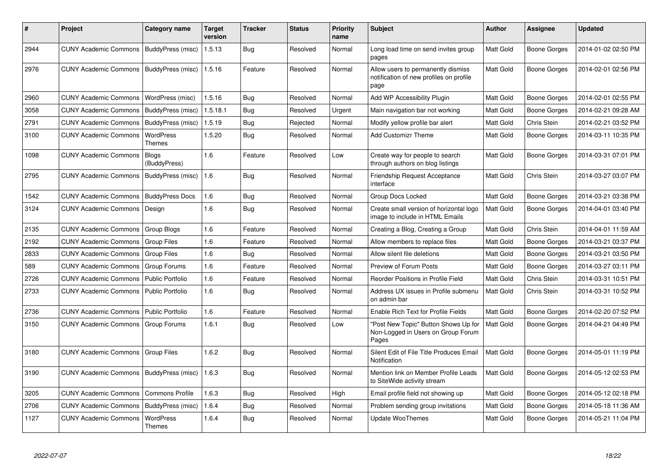| ∦    | Project                                   | Category name              | <b>Target</b><br>version | Tracker    | <b>Status</b> | <b>Priority</b><br>name | <b>Subject</b>                                                                        | <b>Author</b>    | Assignee            | <b>Updated</b>      |
|------|-------------------------------------------|----------------------------|--------------------------|------------|---------------|-------------------------|---------------------------------------------------------------------------------------|------------------|---------------------|---------------------|
| 2944 | CUNY Academic Commons   BuddyPress (misc) |                            | 1.5.13                   | <b>Bug</b> | Resolved      | Normal                  | Long load time on send invites group<br>pages                                         | <b>Matt Gold</b> | Boone Gorges        | 2014-01-02 02:50 PM |
| 2976 | CUNY Academic Commons   BuddyPress (misc) |                            | 1.5.16                   | Feature    | Resolved      | Normal                  | Allow users to permanently dismiss<br>notification of new profiles on profile<br>page | Matt Gold        | Boone Gorges        | 2014-02-01 02:56 PM |
| 2960 | <b>CUNY Academic Commons</b>              | WordPress (misc)           | 1.5.16                   | Bug        | Resolved      | Normal                  | Add WP Accessibility Plugin                                                           | <b>Matt Gold</b> | <b>Boone Gorges</b> | 2014-02-01 02:55 PM |
| 3058 | <b>CUNY Academic Commons</b>              | BuddyPress (misc)          | 1.5.18.1                 | Bug        | Resolved      | Urgent                  | Main navigation bar not working                                                       | Matt Gold        | Boone Gorges        | 2014-02-21 09:28 AM |
| 2791 | <b>CUNY Academic Commons</b>              | BuddyPress (misc)          | 1.5.19                   | Bug        | Rejected      | Normal                  | Modify yellow profile bar alert                                                       | Matt Gold        | Chris Stein         | 2014-02-21 03:52 PM |
| 3100 | <b>CUNY Academic Commons</b>              | WordPress<br>Themes        | 1.5.20                   | Bug        | Resolved      | Normal                  | <b>Add Customizr Theme</b>                                                            | Matt Gold        | Boone Gorges        | 2014-03-11 10:35 PM |
| 1098 | <b>CUNY Academic Commons</b>              | Blogs<br>(BuddyPress)      | 1.6                      | Feature    | Resolved      | Low                     | Create way for people to search<br>through authors on blog listings                   | <b>Matt Gold</b> | Boone Gorges        | 2014-03-31 07:01 PM |
| 2795 | <b>CUNY Academic Commons</b>              | BuddyPress (misc)          | 1.6                      | <b>Bug</b> | Resolved      | Normal                  | Friendship Request Acceptance<br>interface                                            | <b>Matt Gold</b> | Chris Stein         | 2014-03-27 03:07 PM |
| 1542 | <b>CUNY Academic Commons</b>              | <b>BuddyPress Docs</b>     | 1.6                      | Bug        | Resolved      | Normal                  | Group Docs Locked                                                                     | Matt Gold        | <b>Boone Gorges</b> | 2014-03-21 03:38 PM |
| 3124 | <b>CUNY Academic Commons</b>              | Design                     | 1.6                      | <b>Bug</b> | Resolved      | Normal                  | Create small version of horizontal logo<br>image to include in HTML Emails            | Matt Gold        | Boone Gorges        | 2014-04-01 03:40 PM |
| 2135 | <b>CUNY Academic Commons</b>              | Group Blogs                | 1.6                      | Feature    | Resolved      | Normal                  | Creating a Blog, Creating a Group                                                     | <b>Matt Gold</b> | Chris Stein         | 2014-04-01 11:59 AM |
| 2192 | <b>CUNY Academic Commons</b>              | <b>Group Files</b>         | 1.6                      | Feature    | Resolved      | Normal                  | Allow members to replace files                                                        | Matt Gold        | Boone Gorges        | 2014-03-21 03:37 PM |
| 2833 | <b>CUNY Academic Commons</b>              | <b>Group Files</b>         | 1.6                      | Bug        | Resolved      | Normal                  | Allow silent file deletions                                                           | Matt Gold        | <b>Boone Gorges</b> | 2014-03-21 03:50 PM |
| 589  | <b>CUNY Academic Commons</b>              | Group Forums               | 1.6                      | Feature    | Resolved      | Normal                  | Preview of Forum Posts                                                                | Matt Gold        | Boone Gorges        | 2014-03-27 03:11 PM |
| 2726 | <b>CUNY Academic Commons</b>              | <b>Public Portfolio</b>    | 1.6                      | Feature    | Resolved      | Normal                  | Reorder Positions in Profile Field                                                    | <b>Matt Gold</b> | Chris Stein         | 2014-03-31 10:51 PM |
| 2733 | <b>CUNY Academic Commons</b>              | <b>Public Portfolio</b>    | 1.6                      | Bug        | Resolved      | Normal                  | Address UX issues in Profile submenu<br>on admin bar                                  | Matt Gold        | Chris Stein         | 2014-03-31 10:52 PM |
| 2736 | <b>CUNY Academic Commons</b>              | Public Portfolio           | 1.6                      | Feature    | Resolved      | Normal                  | Enable Rich Text for Profile Fields                                                   | Matt Gold        | <b>Boone Gorges</b> | 2014-02-20 07:52 PM |
| 3150 | <b>CUNY Academic Commons</b>              | Group Forums               | 1.6.1                    | <b>Bug</b> | Resolved      | Low                     | 'Post New Topic" Button Shows Up for<br>Non-Logged in Users on Group Forum<br>Pages   | <b>Matt Gold</b> | Boone Gorges        | 2014-04-21 04:49 PM |
| 3180 | <b>CUNY Academic Commons</b>              | Group Files                | 1.6.2                    | Bug        | Resolved      | Normal                  | Silent Edit of File Title Produces Email<br>Notification                              | Matt Gold        | <b>Boone Gorges</b> | 2014-05-01 11:19 PM |
| 3190 | <b>CUNY Academic Commons</b>              | BuddyPress (misc)          | 1.6.3                    | Bug        | Resolved      | Normal                  | Mention link on Member Profile Leads<br>to SiteWide activity stream                   | Matt Gold        | Boone Gorges        | 2014-05-12 02:53 PM |
| 3205 | <b>CUNY Academic Commons</b>              | <b>Commons Profile</b>     | 1.6.3                    | Bug        | Resolved      | High                    | Email profile field not showing up                                                    | <b>Matt Gold</b> | Boone Gorges        | 2014-05-12 02:18 PM |
| 2706 | <b>CUNY Academic Commons</b>              | BuddyPress (misc)          | 1.6.4                    | <b>Bug</b> | Resolved      | Normal                  | Problem sending group invitations                                                     | Matt Gold        | Boone Gorges        | 2014-05-18 11:36 AM |
| 1127 | <b>CUNY Academic Commons</b>              | <b>WordPress</b><br>Themes | 1.6.4                    | Bug        | Resolved      | Normal                  | <b>Update WooThemes</b>                                                               | <b>Matt Gold</b> | Boone Gorges        | 2014-05-21 11:04 PM |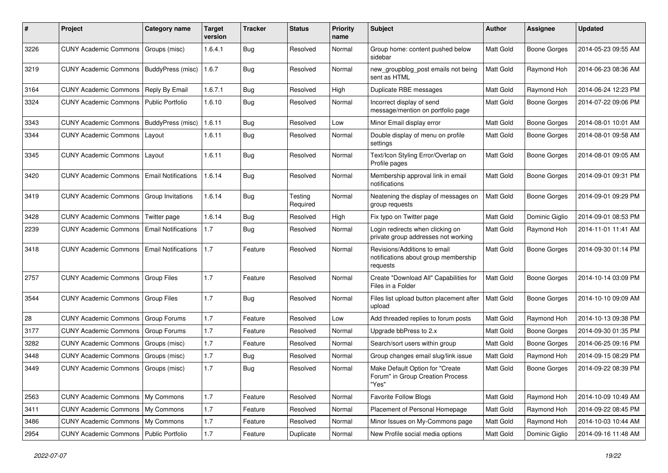| ∦    | Project                                         | Category name              | <b>Target</b><br>version | <b>Tracker</b> | <b>Status</b>       | <b>Priority</b><br>name | Subject                                                                          | <b>Author</b> | <b>Assignee</b>     | <b>Updated</b>      |
|------|-------------------------------------------------|----------------------------|--------------------------|----------------|---------------------|-------------------------|----------------------------------------------------------------------------------|---------------|---------------------|---------------------|
| 3226 | <b>CUNY Academic Commons</b>                    | Groups (misc)              | 1.6.4.1                  | <b>Bug</b>     | Resolved            | Normal                  | Group home: content pushed below<br>sidebar                                      | Matt Gold     | <b>Boone Gorges</b> | 2014-05-23 09:55 AM |
| 3219 | <b>CUNY Academic Commons</b>                    | BuddyPress (misc)          | 1.6.7                    | <b>Bug</b>     | Resolved            | Normal                  | new_groupblog_post emails not being<br>sent as HTML                              | Matt Gold     | Raymond Hoh         | 2014-06-23 08:36 AM |
| 3164 | <b>CUNY Academic Commons</b>                    | Reply By Email             | 1.6.7.1                  | <b>Bug</b>     | Resolved            | High                    | Duplicate RBE messages                                                           | Matt Gold     | Raymond Hoh         | 2014-06-24 12:23 PM |
| 3324 | <b>CUNY Academic Commons   Public Portfolio</b> |                            | 1.6.10                   | Bug            | Resolved            | Normal                  | Incorrect display of send<br>message/mention on portfolio page                   | Matt Gold     | <b>Boone Gorges</b> | 2014-07-22 09:06 PM |
| 3343 | <b>CUNY Academic Commons</b>                    | BuddyPress (misc)          | 1.6.11                   | Bug            | Resolved            | Low                     | Minor Email display error                                                        | Matt Gold     | <b>Boone Gorges</b> | 2014-08-01 10:01 AM |
| 3344 | <b>CUNY Academic Commons</b>                    | Layout                     | 1.6.11                   | Bug            | Resolved            | Normal                  | Double display of menu on profile<br>settings                                    | Matt Gold     | Boone Gorges        | 2014-08-01 09:58 AM |
| 3345 | <b>CUNY Academic Commons</b>                    | Layout                     | 1.6.11                   | Bug            | Resolved            | Normal                  | Text/Icon Styling Error/Overlap on<br>Profile pages                              | Matt Gold     | Boone Gorges        | 2014-08-01 09:05 AM |
| 3420 | <b>CUNY Academic Commons</b>                    | <b>Email Notifications</b> | 1.6.14                   | Bug            | Resolved            | Normal                  | Membership approval link in email<br>notifications                               | Matt Gold     | Boone Gorges        | 2014-09-01 09:31 PM |
| 3419 | <b>CUNY Academic Commons</b>                    | <b>Group Invitations</b>   | 1.6.14                   | <b>Bug</b>     | Testing<br>Required | Normal                  | Neatening the display of messages on<br>group requests                           | Matt Gold     | <b>Boone Gorges</b> | 2014-09-01 09:29 PM |
| 3428 | <b>CUNY Academic Commons</b>                    | Twitter page               | 1.6.14                   | Bug            | Resolved            | High                    | Fix typo on Twitter page                                                         | Matt Gold     | Dominic Giglio      | 2014-09-01 08:53 PM |
| 2239 | <b>CUNY Academic Commons</b>                    | <b>Email Notifications</b> | 1.7                      | Bug            | Resolved            | Normal                  | Login redirects when clicking on<br>private group addresses not working          | Matt Gold     | Raymond Hoh         | 2014-11-01 11:41 AM |
| 3418 | <b>CUNY Academic Commons</b>                    | <b>Email Notifications</b> | 1.7                      | Feature        | Resolved            | Normal                  | Revisions/Additions to email<br>notifications about group membership<br>requests | Matt Gold     | <b>Boone Gorges</b> | 2014-09-30 01:14 PM |
| 2757 | <b>CUNY Academic Commons</b>                    | Group Files                | 1.7                      | Feature        | Resolved            | Normal                  | Create "Download All" Capabilities for<br>Files in a Folder                      | Matt Gold     | <b>Boone Gorges</b> | 2014-10-14 03:09 PM |
| 3544 | <b>CUNY Academic Commons</b>                    | Group Files                | 1.7                      | <b>Bug</b>     | Resolved            | Normal                  | Files list upload button placement after<br>upload                               | Matt Gold     | <b>Boone Gorges</b> | 2014-10-10 09:09 AM |
| 28   | <b>CUNY Academic Commons</b>                    | Group Forums               | 1.7                      | Feature        | Resolved            | Low                     | Add threaded replies to forum posts                                              | Matt Gold     | Raymond Hoh         | 2014-10-13 09:38 PM |
| 3177 | <b>CUNY Academic Commons</b>                    | Group Forums               | 1.7                      | Feature        | Resolved            | Normal                  | Upgrade bbPress to 2.x                                                           | Matt Gold     | <b>Boone Gorges</b> | 2014-09-30 01:35 PM |
| 3282 | <b>CUNY Academic Commons</b>                    | Groups (misc)              | 1.7                      | Feature        | Resolved            | Normal                  | Search/sort users within group                                                   | Matt Gold     | <b>Boone Gorges</b> | 2014-06-25 09:16 PM |
| 3448 | <b>CUNY Academic Commons</b>                    | Groups (misc)              | 1.7                      | <b>Bug</b>     | Resolved            | Normal                  | Group changes email slug/link issue                                              | Matt Gold     | Raymond Hoh         | 2014-09-15 08:29 PM |
| 3449 | <b>CUNY Academic Commons</b>                    | Groups (misc)              | 1.7                      | Bug            | Resolved            | Normal                  | Make Default Option for "Create<br>Forum" in Group Creation Process<br>"Yes"     | Matt Gold     | <b>Boone Gorges</b> | 2014-09-22 08:39 PM |
| 2563 | CUNY Academic Commons   My Commons              |                            | 1.7                      | Feature        | Resolved            | Normal                  | Favorite Follow Blogs                                                            | Matt Gold     | Raymond Hoh         | 2014-10-09 10:49 AM |
| 3411 | CUNY Academic Commons   My Commons              |                            | 1.7                      | Feature        | Resolved            | Normal                  | Placement of Personal Homepage                                                   | Matt Gold     | Raymond Hoh         | 2014-09-22 08:45 PM |
| 3486 | CUNY Academic Commons   My Commons              |                            | 1.7                      | Feature        | Resolved            | Normal                  | Minor Issues on My-Commons page                                                  | Matt Gold     | Raymond Hoh         | 2014-10-03 10:44 AM |
| 2954 | CUNY Academic Commons   Public Portfolio        |                            | $1.7$                    | Feature        | Duplicate           | Normal                  | New Profile social media options                                                 | Matt Gold     | Dominic Giglio      | 2014-09-16 11:48 AM |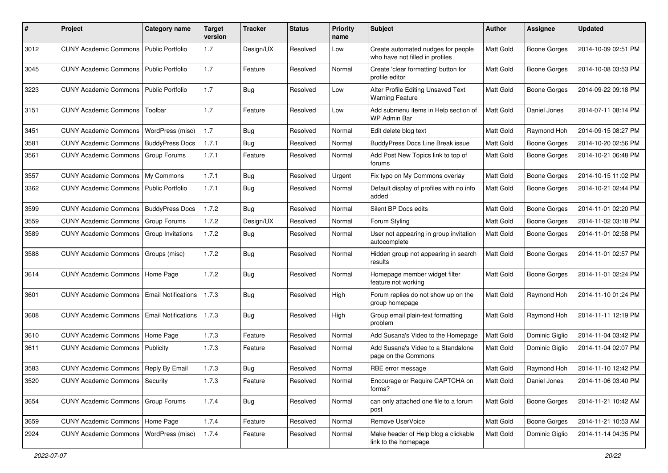| #    | Project                           | <b>Category name</b>       | <b>Target</b><br>version | <b>Tracker</b> | <b>Status</b> | <b>Priority</b><br>name | <b>Subject</b>                                                        | Author    | <b>Assignee</b>     | <b>Updated</b>      |
|------|-----------------------------------|----------------------------|--------------------------|----------------|---------------|-------------------------|-----------------------------------------------------------------------|-----------|---------------------|---------------------|
| 3012 | <b>CUNY Academic Commons</b>      | Public Portfolio           | 1.7                      | Design/UX      | Resolved      | Low                     | Create automated nudges for people<br>who have not filled in profiles | Matt Gold | <b>Boone Gorges</b> | 2014-10-09 02:51 PM |
| 3045 | <b>CUNY Academic Commons</b>      | <b>Public Portfolio</b>    | 1.7                      | Feature        | Resolved      | Normal                  | Create 'clear formatting' button for<br>profile editor                | Matt Gold | <b>Boone Gorges</b> | 2014-10-08 03:53 PM |
| 3223 | <b>CUNY Academic Commons</b>      | <b>Public Portfolio</b>    | 1.7                      | <b>Bug</b>     | Resolved      | Low                     | Alter Profile Editing Unsaved Text<br><b>Warning Feature</b>          | Matt Gold | <b>Boone Gorges</b> | 2014-09-22 09:18 PM |
| 3151 | <b>CUNY Academic Commons</b>      | Toolbar                    | 1.7                      | Feature        | Resolved      | Low                     | Add submenu items in Help section of<br>WP Admin Bar                  | Matt Gold | Daniel Jones        | 2014-07-11 08:14 PM |
| 3451 | <b>CUNY Academic Commons</b>      | WordPress (misc)           | 1.7                      | <b>Bug</b>     | Resolved      | Normal                  | Edit delete blog text                                                 | Matt Gold | Raymond Hoh         | 2014-09-15 08:27 PM |
| 3581 | <b>CUNY Academic Commons</b>      | <b>BuddyPress Docs</b>     | 1.7.1                    | Bug            | Resolved      | Normal                  | BuddyPress Docs Line Break issue                                      | Matt Gold | <b>Boone Gorges</b> | 2014-10-20 02:56 PM |
| 3561 | <b>CUNY Academic Commons</b>      | Group Forums               | 1.7.1                    | Feature        | Resolved      | Normal                  | Add Post New Topics link to top of<br>forums                          | Matt Gold | <b>Boone Gorges</b> | 2014-10-21 06:48 PM |
| 3557 | <b>CUNY Academic Commons</b>      | My Commons                 | 1.7.1                    | <b>Bug</b>     | Resolved      | Urgent                  | Fix typo on My Commons overlay                                        | Matt Gold | <b>Boone Gorges</b> | 2014-10-15 11:02 PM |
| 3362 | <b>CUNY Academic Commons</b>      | <b>Public Portfolio</b>    | 1.7.1                    | Bug            | Resolved      | Normal                  | Default display of profiles with no info<br>added                     | Matt Gold | <b>Boone Gorges</b> | 2014-10-21 02:44 PM |
| 3599 | <b>CUNY Academic Commons</b>      | <b>BuddyPress Docs</b>     | 1.7.2                    | Bug            | Resolved      | Normal                  | Silent BP Docs edits                                                  | Matt Gold | <b>Boone Gorges</b> | 2014-11-01 02:20 PM |
| 3559 | <b>CUNY Academic Commons</b>      | <b>Group Forums</b>        | 1.7.2                    | Design/UX      | Resolved      | Normal                  | Forum Styling                                                         | Matt Gold | <b>Boone Gorges</b> | 2014-11-02 03:18 PM |
| 3589 | <b>CUNY Academic Commons</b>      | Group Invitations          | 1.7.2                    | <b>Bug</b>     | Resolved      | Normal                  | User not appearing in group invitation<br>autocomplete                | Matt Gold | <b>Boone Gorges</b> | 2014-11-01 02:58 PM |
| 3588 | <b>CUNY Academic Commons</b>      | Groups (misc)              | 1.7.2                    | <b>Bug</b>     | Resolved      | Normal                  | Hidden group not appearing in search<br>results                       | Matt Gold | <b>Boone Gorges</b> | 2014-11-01 02:57 PM |
| 3614 | <b>CUNY Academic Commons</b>      | Home Page                  | 1.7.2                    | Bug            | Resolved      | Normal                  | Homepage member widget filter<br>feature not working                  | Matt Gold | <b>Boone Gorges</b> | 2014-11-01 02:24 PM |
| 3601 | <b>CUNY Academic Commons</b>      | <b>Email Notifications</b> | 1.7.3                    | <b>Bug</b>     | Resolved      | High                    | Forum replies do not show up on the<br>group homepage                 | Matt Gold | Raymond Hoh         | 2014-11-10 01:24 PM |
| 3608 | <b>CUNY Academic Commons</b>      | <b>Email Notifications</b> | 1.7.3                    | <b>Bug</b>     | Resolved      | High                    | Group email plain-text formatting<br>problem                          | Matt Gold | Raymond Hoh         | 2014-11-11 12:19 PM |
| 3610 | <b>CUNY Academic Commons</b>      | Home Page                  | 1.7.3                    | Feature        | Resolved      | Normal                  | Add Susana's Video to the Homepage                                    | Matt Gold | Dominic Giglio      | 2014-11-04 03:42 PM |
| 3611 | <b>CUNY Academic Commons</b>      | Publicity                  | 1.7.3                    | Feature        | Resolved      | Normal                  | Add Susana's Video to a Standalone<br>page on the Commons             | Matt Gold | Dominic Giglio      | 2014-11-04 02:07 PM |
| 3583 | <b>CUNY Academic Commons</b>      | Reply By Email             | 1.7.3                    | Bug            | Resolved      | Normal                  | RBE error message                                                     | Matt Gold | Raymond Hoh         | 2014-11-10 12:42 PM |
| 3520 | CUNY Academic Commons   Security  |                            | 1.7.3                    | Feature        | Resolved      | Normal                  | Encourage or Require CAPTCHA on<br>forms?                             | Matt Gold | Daniel Jones        | 2014-11-06 03:40 PM |
| 3654 | <b>CUNY Academic Commons</b>      | Group Forums               | 1.7.4                    | <b>Bug</b>     | Resolved      | Normal                  | can only attached one file to a forum<br>post                         | Matt Gold | Boone Gorges        | 2014-11-21 10:42 AM |
| 3659 | CUNY Academic Commons   Home Page |                            | 1.7.4                    | Feature        | Resolved      | Normal                  | Remove UserVoice                                                      | Matt Gold | Boone Gorges        | 2014-11-21 10:53 AM |
| 2924 | <b>CUNY Academic Commons</b>      | WordPress (misc)           | 1.7.4                    | Feature        | Resolved      | Normal                  | Make header of Help blog a clickable<br>link to the homepage          | Matt Gold | Dominic Giglio      | 2014-11-14 04:35 PM |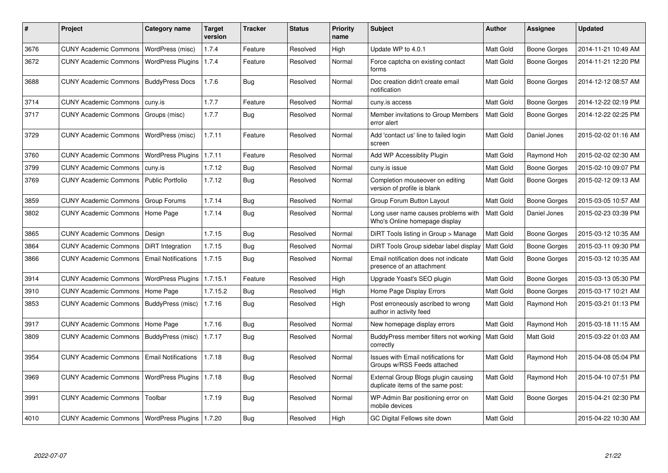| #    | Project                                            | Category name              | <b>Target</b><br>version | <b>Tracker</b> | <b>Status</b> | <b>Priority</b><br>name | <b>Subject</b>                                                           | <b>Author</b>    | Assignee            | <b>Updated</b>      |
|------|----------------------------------------------------|----------------------------|--------------------------|----------------|---------------|-------------------------|--------------------------------------------------------------------------|------------------|---------------------|---------------------|
| 3676 | <b>CUNY Academic Commons</b>                       | WordPress (misc)           | 1.7.4                    | Feature        | Resolved      | High                    | Update WP to 4.0.1                                                       | Matt Gold        | <b>Boone Gorges</b> | 2014-11-21 10:49 AM |
| 3672 | <b>CUNY Academic Commons</b>                       | <b>WordPress Plugins</b>   | 1.7.4                    | Feature        | Resolved      | Normal                  | Force captcha on existing contact<br>forms                               | Matt Gold        | <b>Boone Gorges</b> | 2014-11-21 12:20 PM |
| 3688 | <b>CUNY Academic Commons</b>                       | <b>BuddyPress Docs</b>     | 1.7.6                    | Bug            | Resolved      | Normal                  | Doc creation didn't create email<br>notification                         | Matt Gold        | Boone Gorges        | 2014-12-12 08:57 AM |
| 3714 | <b>CUNY Academic Commons</b>                       | cuny.is                    | 1.7.7                    | Feature        | Resolved      | Normal                  | cuny.is access                                                           | Matt Gold        | <b>Boone Gorges</b> | 2014-12-22 02:19 PM |
| 3717 | <b>CUNY Academic Commons</b>                       | Groups (misc)              | 1.7.7                    | Bug            | Resolved      | Normal                  | Member invitations to Group Members<br>error alert                       | Matt Gold        | Boone Gorges        | 2014-12-22 02:25 PM |
| 3729 | <b>CUNY Academic Commons</b>                       | WordPress (misc)           | 1.7.11                   | Feature        | Resolved      | Normal                  | Add 'contact us' line to failed login<br>screen                          | Matt Gold        | Daniel Jones        | 2015-02-02 01:16 AM |
| 3760 | <b>CUNY Academic Commons</b>                       | <b>WordPress Plugins</b>   | 1.7.11                   | Feature        | Resolved      | Normal                  | Add WP Accessiblity Plugin                                               | Matt Gold        | Raymond Hoh         | 2015-02-02 02:30 AM |
| 3799 | <b>CUNY Academic Commons</b>                       | cuny.is                    | 1.7.12                   | Bug            | Resolved      | Normal                  | cuny.is issue                                                            | Matt Gold        | <b>Boone Gorges</b> | 2015-02-10 09:07 PM |
| 3769 | <b>CUNY Academic Commons</b>                       | <b>Public Portfolio</b>    | 1.7.12                   | Bug            | Resolved      | Normal                  | Completion mouseover on editing<br>version of profile is blank           | <b>Matt Gold</b> | <b>Boone Gorges</b> | 2015-02-12 09:13 AM |
| 3859 | <b>CUNY Academic Commons</b>                       | Group Forums               | 1.7.14                   | Bug            | Resolved      | Normal                  | Group Forum Button Layout                                                | Matt Gold        | Boone Gorges        | 2015-03-05 10:57 AM |
| 3802 | <b>CUNY Academic Commons</b>                       | Home Page                  | 1.7.14                   | <b>Bug</b>     | Resolved      | Normal                  | Long user name causes problems with<br>Who's Online homepage display     | Matt Gold        | Daniel Jones        | 2015-02-23 03:39 PM |
| 3865 | <b>CUNY Academic Commons</b>                       | Design                     | 1.7.15                   | <b>Bug</b>     | Resolved      | Normal                  | DiRT Tools listing in Group > Manage                                     | Matt Gold        | <b>Boone Gorges</b> | 2015-03-12 10:35 AM |
| 3864 | <b>CUNY Academic Commons</b>                       | <b>DiRT</b> Integration    | 1.7.15                   | Bug            | Resolved      | Normal                  | DiRT Tools Group sidebar label display                                   | Matt Gold        | <b>Boone Gorges</b> | 2015-03-11 09:30 PM |
| 3866 | <b>CUNY Academic Commons</b>                       | <b>Email Notifications</b> | 1.7.15                   | Bug            | Resolved      | Normal                  | Email notification does not indicate<br>presence of an attachment        | Matt Gold        | Boone Gorges        | 2015-03-12 10:35 AM |
| 3914 | <b>CUNY Academic Commons</b>                       | <b>WordPress Plugins</b>   | 1.7.15.1                 | Feature        | Resolved      | High                    | Upgrade Yoast's SEO plugin                                               | Matt Gold        | <b>Boone Gorges</b> | 2015-03-13 05:30 PM |
| 3910 | <b>CUNY Academic Commons</b>                       | Home Page                  | 1.7.15.2                 | <b>Bug</b>     | Resolved      | High                    | Home Page Display Errors                                                 | Matt Gold        | Boone Gorges        | 2015-03-17 10:21 AM |
| 3853 | <b>CUNY Academic Commons</b>                       | BuddyPress (misc)          | 1.7.16                   | Bug            | Resolved      | High                    | Post erroneously ascribed to wrong<br>author in activity feed            | Matt Gold        | Raymond Hoh         | 2015-03-21 01:13 PM |
| 3917 | <b>CUNY Academic Commons</b>                       | Home Page                  | 1.7.16                   | Bug            | Resolved      | Normal                  | New homepage display errors                                              | Matt Gold        | Raymond Hoh         | 2015-03-18 11:15 AM |
| 3809 | <b>CUNY Academic Commons</b>                       | BuddyPress (misc)          | 1.7.17                   | Bug            | Resolved      | Normal                  | BuddyPress member filters not working<br>correctly                       | <b>Matt Gold</b> | Matt Gold           | 2015-03-22 01:03 AM |
| 3954 | <b>CUNY Academic Commons</b>                       | <b>Email Notifications</b> | 1.7.18                   | <b>Bug</b>     | Resolved      | Normal                  | Issues with Email notifications for<br>Groups w/RSS Feeds attached       | Matt Gold        | Raymond Hoh         | 2015-04-08 05:04 PM |
| 3969 | <b>CUNY Academic Commons</b>                       | WordPress Plugins   1.7.18 |                          | <b>Bug</b>     | Resolved      | Normal                  | External Group Blogs plugin causing<br>duplicate items of the same post: | Matt Gold        | Raymond Hoh         | 2015-04-10 07:51 PM |
| 3991 | <b>CUNY Academic Commons</b>                       | Toolbar                    | 1.7.19                   | Bug            | Resolved      | Normal                  | WP-Admin Bar positioning error on<br>mobile devices                      | Matt Gold        | <b>Boone Gorges</b> | 2015-04-21 02:30 PM |
| 4010 | CUNY Academic Commons   WordPress Plugins   1.7.20 |                            |                          | Bug            | Resolved      | High                    | GC Digital Fellows site down                                             | Matt Gold        |                     | 2015-04-22 10:30 AM |